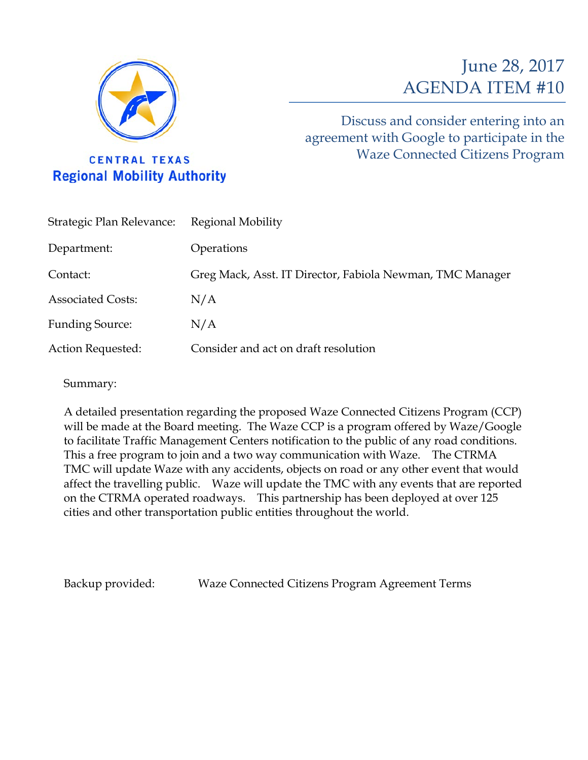

**CENTRAL TEXAS Regional Mobility Authority** 

## June 28, 2017 AGENDA ITEM #10

Discuss and consider entering into an agreement with Google to participate in the Waze Connected Citizens Program

| Strategic Plan Relevance: | <b>Regional Mobility</b>                                  |
|---------------------------|-----------------------------------------------------------|
| Department:               | Operations                                                |
| Contact:                  | Greg Mack, Asst. IT Director, Fabiola Newman, TMC Manager |
| <b>Associated Costs:</b>  | N/A                                                       |
| <b>Funding Source:</b>    | N/A                                                       |
| <b>Action Requested:</b>  | Consider and act on draft resolution                      |

Summary:

A detailed presentation regarding the proposed Waze Connected Citizens Program (CCP) will be made at the Board meeting. The Waze CCP is a program offered by Waze/Google to facilitate Traffic Management Centers notification to the public of any road conditions. This a free program to join and a two way communication with Waze. The CTRMA TMC will update Waze with any accidents, objects on road or any other event that would affect the travelling public. Waze will update the TMC with any events that are reported on the CTRMA operated roadways. This partnership has been deployed at over 125 cities and other transportation public entities throughout the world.

Backup provided: Waze Connected Citizens Program Agreement Terms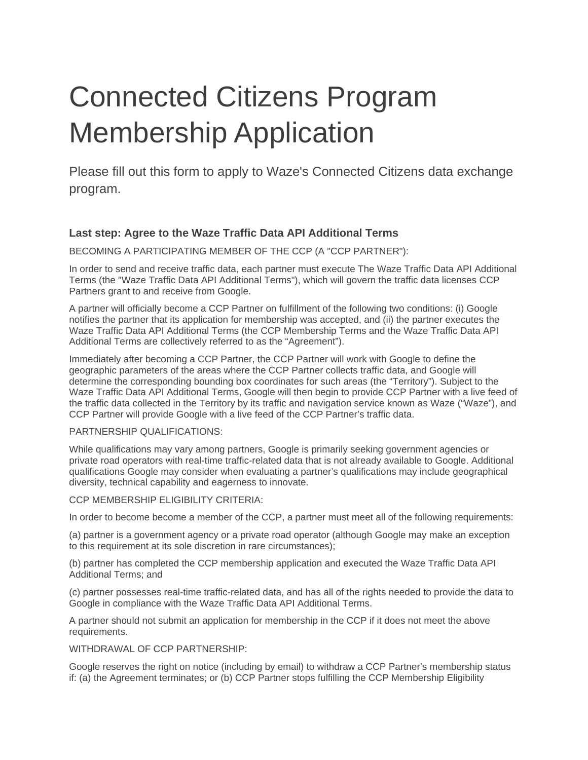# Connected Citizens Program Membership Application

Please fill out this form to apply to Waze's Connected Citizens data exchange program.

#### **Last step: Agree to the Waze Traffic Data API Additional Terms**

BECOMING A PARTICIPATING MEMBER OF THE CCP (A "CCP PARTNER"):

In order to send and receive traffic data, each partner must execute The Waze Traffic Data API Additional Terms (the "Waze Traffic Data API Additional Terms"), which will govern the traffic data licenses CCP Partners grant to and receive from Google.

A partner will officially become a CCP Partner on fulfillment of the following two conditions: (i) Google notifies the partner that its application for membership was accepted, and (ii) the partner executes the Waze Traffic Data API Additional Terms (the CCP Membership Terms and the Waze Traffic Data API Additional Terms are collectively referred to as the "Agreement").

Immediately after becoming a CCP Partner, the CCP Partner will work with Google to define the geographic parameters of the areas where the CCP Partner collects traffic data, and Google will determine the corresponding bounding box coordinates for such areas (the "Territory"). Subject to the Waze Traffic Data API Additional Terms, Google will then begin to provide CCP Partner with a live feed of the traffic data collected in the Territory by its traffic and navigation service known as Waze ("Waze"), and CCP Partner will provide Google with a live feed of the CCP Partner's traffic data.

#### PARTNERSHIP QUALIFICATIONS:

While qualifications may vary among partners, Google is primarily seeking government agencies or private road operators with real-time traffic-related data that is not already available to Google. Additional qualifications Google may consider when evaluating a partner's qualifications may include geographical diversity, technical capability and eagerness to innovate.

CCP MEMBERSHIP ELIGIBILITY CRITERIA:

In order to become become a member of the CCP, a partner must meet all of the following requirements:

(a) partner is a government agency or a private road operator (although Google may make an exception to this requirement at its sole discretion in rare circumstances);

(b) partner has completed the CCP membership application and executed the Waze Traffic Data API Additional Terms; and

(c) partner possesses real-time traffic-related data, and has all of the rights needed to provide the data to Google in compliance with the Waze Traffic Data API Additional Terms.

A partner should not submit an application for membership in the CCP if it does not meet the above requirements.

WITHDRAWAL OF CCP PARTNERSHIP:

Google reserves the right on notice (including by email) to withdraw a CCP Partner's membership status if: (a) the Agreement terminates; or (b) CCP Partner stops fulfilling the CCP Membership Eligibility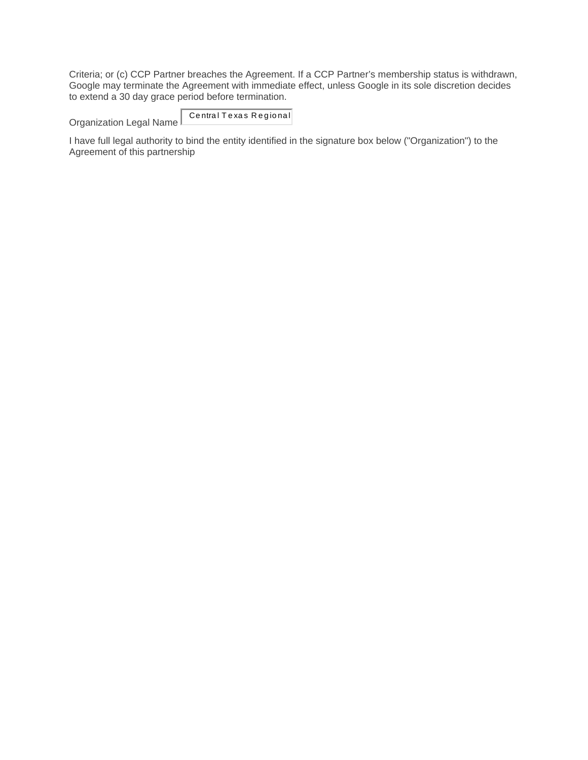Criteria; or (c) CCP Partner breaches the Agreement. If a CCP Partner's membership status is withdrawn, Google may terminate the Agreement with immediate effect, unless Google in its sole discretion decides to extend a 30 day grace period before termination.

Organization Legal Name Central Texas Regional

I have full legal authority to bind the entity identified in the signature box below ("Organization") to the Agreement of this partnership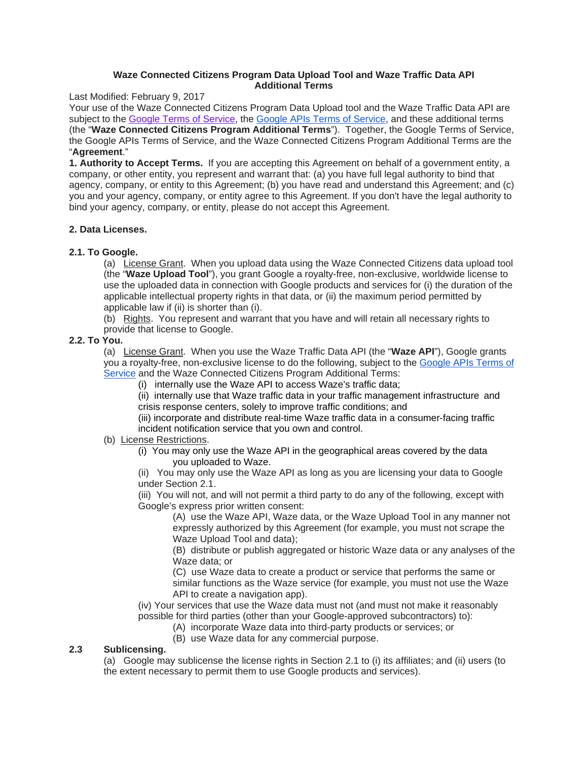#### **Waze Connected Citizens Program Data Upload Tool and Waze Traffic Data API Additional Terms**

Last Modified: February 9, 2017

Your use of the Waze Connected Citizens Program Data Upload tool and the Waze Traffic Data API are subject to the Google Terms of Service, the [Google APIs Terms of Service,](https://developers.google.com/terms/) and these additional terms (the "**Waze Connected Citizens Program Additional Terms**"). Together, the Google Terms of Service, the Google APIs Terms of Service, and the Waze Connected Citizens Program Additional Terms are the "**Agreement**."

**1. Authority to Accept Terms.** If you are accepting this Agreement on behalf of a government entity, a company, or other entity, you represent and warrant that: (a) you have full legal authority to bind that agency, company, or entity to this Agreement; (b) you have read and understand this Agreement; and (c) you and your agency, company, or entity agree to this Agreement. If you don't have the legal authority to bind your agency, company, or entity, please do not accept this Agreement.

#### **2. Data Licenses.**

#### **2.1. To Google.**

(a) License Grant. When you upload data using the Waze Connected Citizens data upload tool (the "**Waze Upload Tool**"), you grant Google a royalty-free, non-exclusive, worldwide license to use the uploaded data in connection with Google products and services for (i) the duration of the applicable intellectual property rights in that data, or (ii) the maximum period permitted by applicable law if (ii) is shorter than (i).

(b) Rights. You represent and warrant that you have and will retain all necessary rights to provide that license to Google.

#### **2.2. To You.**

(a) License Grant. When you use the Waze Traffic Data API (the "**Waze API**"), Google grants you a royalty-free, non-exclusive license to do the following, subject to the [Google APIs Terms of](https://developers.google.com/terms/)  [Service](https://developers.google.com/terms/) and the Waze Connected Citizens Program Additional Terms:

(i) internally use the Waze API to access Waze's traffic data;

(ii) internally use that Waze traffic data in your traffic management infrastructure and crisis response centers, solely to improve traffic conditions; and

(iii) incorporate and distribute real-time Waze traffic data in a consumer-facing traffic incident notification service that you own and control.

#### (b) License Restrictions.

(i) You may only use the Waze API in the geographical areas covered by the data you uploaded to Waze.

(ii) You may only use the Waze API as long as you are licensing your data to Google under Section 2.1.

(iii) You will not, and will not permit a third party to do any of the following, except with Google's express prior written consent:

(A) use the Waze API, Waze data, or the Waze Upload Tool in any manner not expressly authorized by this Agreement (for example, you must not scrape the Waze Upload Tool and data);

(B) distribute or publish aggregated or historic Waze data or any analyses of the Waze data; or

(C) use Waze data to create a product or service that performs the same or similar functions as the Waze service (for example, you must not use the Waze API to create a navigation app).

(iv) Your services that use the Waze data must not (and must not make it reasonably possible for third parties (other than your Google-approved subcontractors) to):

- (A) incorporate Waze data into third-party products or services; or
- (B) use Waze data for any commercial purpose.

#### **2.3 Sublicensing.**

(a) Google may sublicense the license rights in Section 2.1 to (i) its affiliates; and (ii) users (to the extent necessary to permit them to use Google products and services).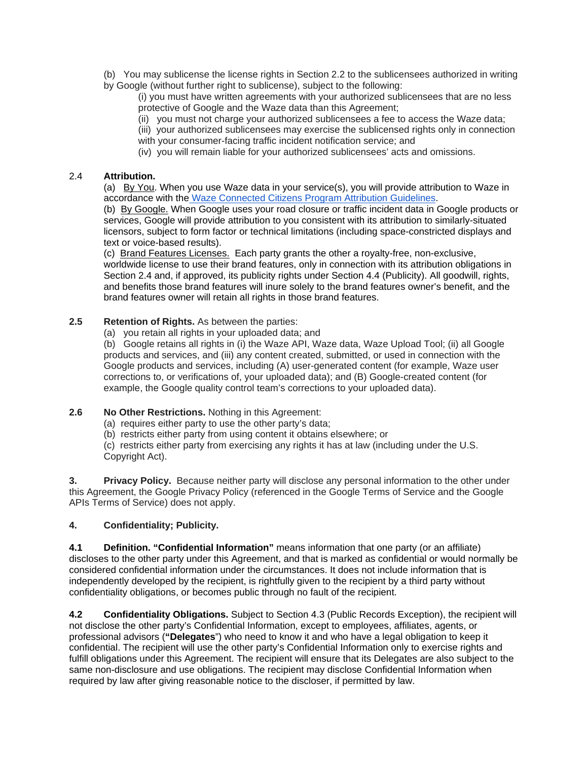- (b) You may sublicense the license rights in Section 2.2 to the sublicensees authorized in writing by Google (without further right to sublicense), subject to the following:
	- (i) you must have written agreements with your authorized sublicensees that are no less protective of Google and the Waze data than this Agreement;
	- (ii) you must not charge your authorized sublicensees a fee to access the Waze data;
	- (iii) your authorized sublicensees may exercise the sublicensed rights only in connection
	- with your consumer-facing traffic incident notification service; and
	- (iv) you will remain liable for your authorized sublicensees' acts and omissions.

#### 2.4 **Attribution.**

(a) By You. When you use Waze data in your service(s), you will provide attribution to Waze in accordance with the [Waze Connected Citizens Program Attribution Guidelines.](https://sites.google.com/site/wazeccpattributionguidelines/home)

(b) By Google. When Google uses your road closure or traffic incident data in Google products or services, Google will provide attribution to you consistent with its attribution to similarly-situated licensors, subject to form factor or technical limitations (including space-constricted displays and text or voice-based results).

(c) Brand Features Licenses. Each party grants the other a royalty-free, non-exclusive, worldwide license to use their brand features, only in connection with its attribution obligations in Section 2.4 and, if approved, its publicity rights under Section 4.4 (Publicity). All goodwill, rights, and benefits those brand features will inure solely to the brand features owner's benefit, and the brand features owner will retain all rights in those brand features.

#### **2.5 Retention of Rights.** As between the parties:

(a) you retain all rights in your uploaded data; and

(b) Google retains all rights in (i) the Waze API, Waze data, Waze Upload Tool; (ii) all Google products and services, and (iii) any content created, submitted, or used in connection with the Google products and services, including (A) user-generated content (for example, Waze user corrections to, or verifications of, your uploaded data); and (B) Google-created content (for example, the Google quality control team's corrections to your uploaded data).

#### **2.6 No Other Restrictions.** Nothing in this Agreement:

(a) requires either party to use the other party's data;

(b) restricts either party from using content it obtains elsewhere; or

(c) restricts either party from exercising any rights it has at law (including under the U.S. Copyright Act).

**3. Privacy Policy.** Because neither party will disclose any personal information to the other under this Agreement, the Google Privacy Policy (referenced in the Google Terms of Service and the Google APIs Terms of Service) does not apply.

#### **4. Confidentiality; Publicity.**

**4.1 Definition. "Confidential Information"** means information that one party (or an affiliate) discloses to the other party under this Agreement, and that is marked as confidential or would normally be considered confidential information under the circumstances. It does not include information that is independently developed by the recipient, is rightfully given to the recipient by a third party without confidentiality obligations, or becomes public through no fault of the recipient.

**4.2 Confidentiality Obligations.** Subject to Section 4.3 (Public Records Exception), the recipient will not disclose the other party's Confidential Information, except to employees, affiliates, agents, or professional advisors (**"Delegates**") who need to know it and who have a legal obligation to keep it confidential. The recipient will use the other party's Confidential Information only to exercise rights and fulfill obligations under this Agreement. The recipient will ensure that its Delegates are also subject to the same non-disclosure and use obligations. The recipient may disclose Confidential Information when required by law after giving reasonable notice to the discloser, if permitted by law.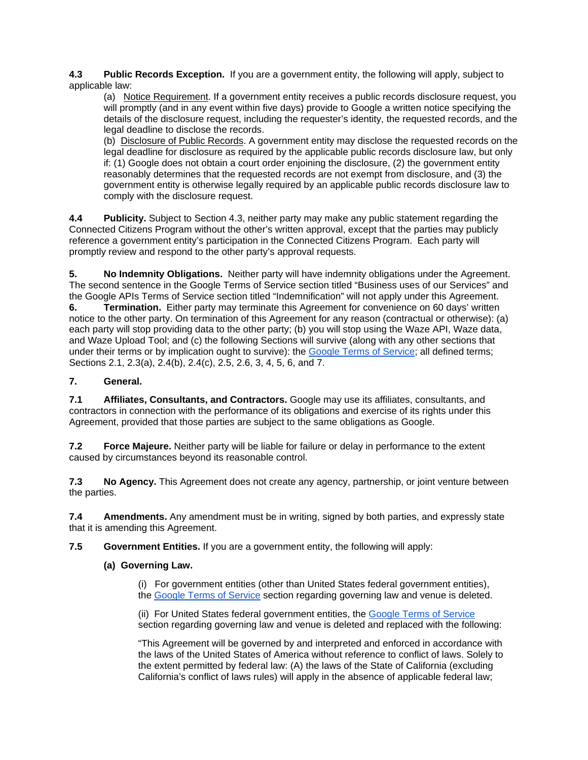**4.3 Public Records Exception.** If you are a government entity, the following will apply, subject to applicable law:

(a) Notice Requirement. If a government entity receives a public records disclosure request, you will promptly (and in any event within five days) provide to Google a written notice specifying the details of the disclosure request, including the requester's identity, the requested records, and the legal deadline to disclose the records.

(b) Disclosure of Public Records. A government entity may disclose the requested records on the legal deadline for disclosure as required by the applicable public records disclosure law, but only if: (1) Google does not obtain a court order enjoining the disclosure, (2) the government entity reasonably determines that the requested records are not exempt from disclosure, and (3) the government entity is otherwise legally required by an applicable public records disclosure law to comply with the disclosure request.

**4.4 Publicity.** Subject to Section 4.3, neither party may make any public statement regarding the Connected Citizens Program without the other's written approval, except that the parties may publicly reference a government entity's participation in the Connected Citizens Program. Each party will promptly review and respond to the other party's approval requests.

**5. No Indemnity Obligations.** Neither party will have indemnity obligations under the Agreement. The second sentence in the Google Terms of Service section titled "Business uses of our Services" and the Google APIs Terms of Service section titled "Indemnification" will not apply under this Agreement. **6. Termination.** Either party may terminate this Agreement for convenience on 60 days' written notice to the other party. On termination of this Agreement for any reason (contractual or otherwise): (a) each party will stop providing data to the other party; (b) you will stop using the Waze API, Waze data, and Waze Upload Tool; and (c) the following Sections will survive (along with any other sections that under their terms or by implication ought to survive): the [Google Terms of Service;](https://www.google.com/policies/terms/) all defined terms; Sections 2.1, 2.3(a), 2.4(b), 2.4(c), 2.5, 2.6, 3, 4, 5, 6, and 7.

#### **7. General.**

**7.1 Affiliates, Consultants, and Contractors.** Google may use its affiliates, consultants, and contractors in connection with the performance of its obligations and exercise of its rights under this Agreement, provided that those parties are subject to the same obligations as Google.

**7.2 Force Majeure.** Neither party will be liable for failure or delay in performance to the extent caused by circumstances beyond its reasonable control.

**7.3 No Agency.** This Agreement does not create any agency, partnership, or joint venture between the parties.

**7.4 Amendments.** Any amendment must be in writing, signed by both parties, and expressly state that it is amending this Agreement.

**7.5 Government Entities.** If you are a government entity, the following will apply:

#### **(a) Governing Law.**

(i) For government entities (other than United States federal government entities), the [Google Terms of Service](https://www.google.com/policies/terms/) section regarding governing law and venue is deleted.

(ii) For United States federal government entities, the [Google Terms of Service](https://www.google.com/policies/terms/) section regarding governing law and venue is deleted and replaced with the following:

"This Agreement will be governed by and interpreted and enforced in accordance with the laws of the United States of America without reference to conflict of laws. Solely to the extent permitted by federal law: (A) the laws of the State of California (excluding California's conflict of laws rules) will apply in the absence of applicable federal law;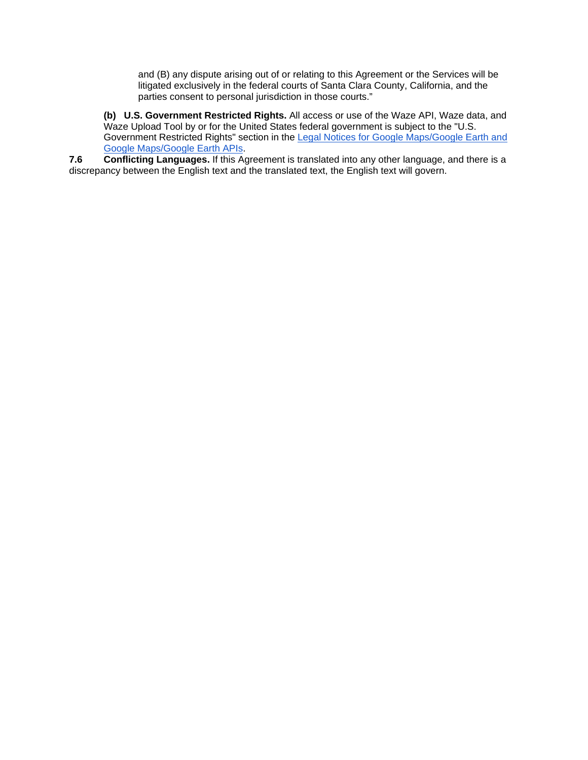and (B) any dispute arising out of or relating to this Agreement or the Services will be litigated exclusively in the federal courts of Santa Clara County, California, and the parties consent to personal jurisdiction in those courts."

**(b) U.S. Government Restricted Rights.** All access or use of the Waze API, Waze data, and Waze Upload Tool by or for the United States federal government is subject to the "U.S. Government Restricted Rights" section in the [Legal Notices for Google Maps/Google Earth and](https://www.google.com/help/legalnotices_maps.html)  [Google Maps/Google Earth APIs.](https://www.google.com/help/legalnotices_maps.html)

**7.6 Conflicting Languages.** If this Agreement is translated into any other language, and there is a discrepancy between the English text and the translated text, the English text will govern.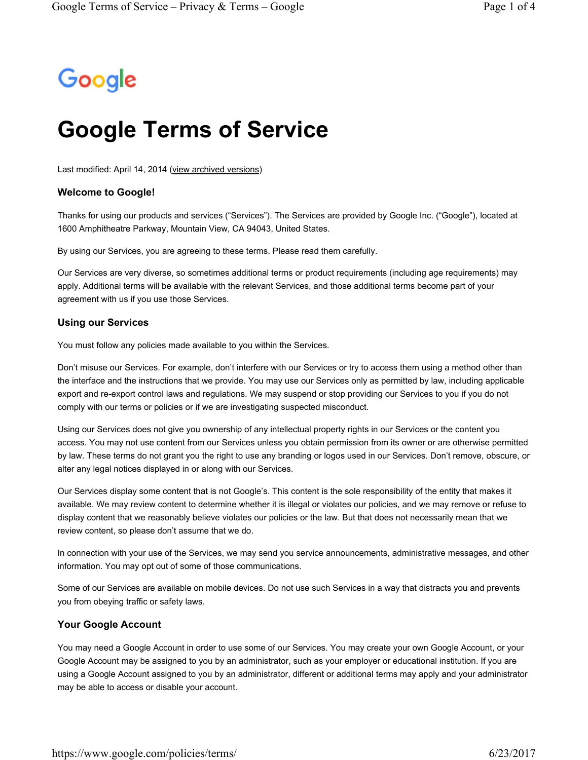## Google

# **Google Terms of Service**

Last modified: April 14, 2014 (view archived versions)

#### **Welcome to Google!**

Thanks for using our products and services ("Services"). The Services are provided by Google Inc. ("Google"), located at 1600 Amphitheatre Parkway, Mountain View, CA 94043, United States.

By using our Services, you are agreeing to these terms. Please read them carefully.

Our Services are very diverse, so sometimes additional terms or product requirements (including age requirements) may apply. Additional terms will be available with the relevant Services, and those additional terms become part of your agreement with us if you use those Services.

#### **Using our Services**

You must follow any policies made available to you within the Services.

Don't misuse our Services. For example, don't interfere with our Services or try to access them using a method other than the interface and the instructions that we provide. You may use our Services only as permitted by law, including applicable export and re-export control laws and regulations. We may suspend or stop providing our Services to you if you do not comply with our terms or policies or if we are investigating suspected misconduct.

Using our Services does not give you ownership of any intellectual property rights in our Services or the content you access. You may not use content from our Services unless you obtain permission from its owner or are otherwise permitted by law. These terms do not grant you the right to use any branding or logos used in our Services. Don't remove, obscure, or alter any legal notices displayed in or along with our Services.

Our Services display some content that is not Google's. This content is the sole responsibility of the entity that makes it available. We may review content to determine whether it is illegal or violates our policies, and we may remove or refuse to display content that we reasonably believe violates our policies or the law. But that does not necessarily mean that we review content, so please don't assume that we do.

In connection with your use of the Services, we may send you service announcements, administrative messages, and other information. You may opt out of some of those communications.

Some of our Services are available on mobile devices. Do not use such Services in a way that distracts you and prevents you from obeying traffic or safety laws.

#### **Your Google Account**

You may need a Google Account in order to use some of our Services. You may create your own Google Account, or your Google Account may be assigned to you by an administrator, such as your employer or educational institution. If you are using a Google Account assigned to you by an administrator, different or additional terms may apply and your administrator may be able to access or disable your account.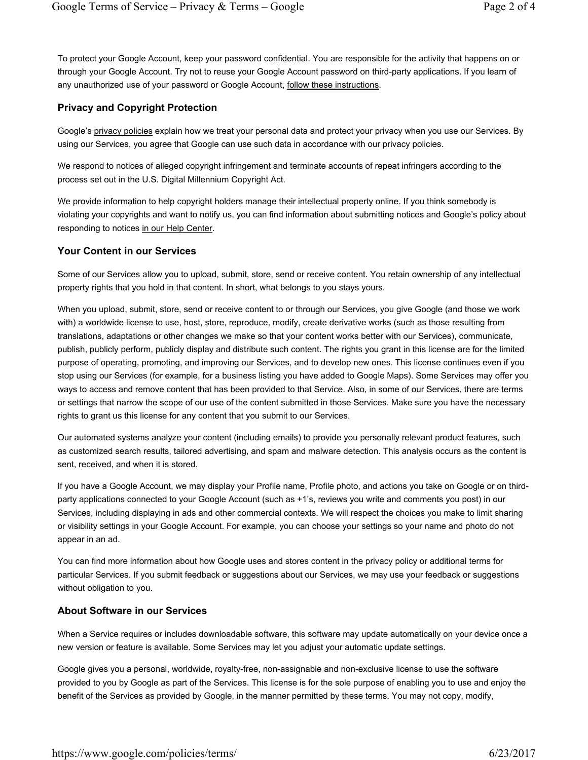To protect your Google Account, keep your password confidential. You are responsible for the activity that happens on or through your Google Account. Try not to reuse your Google Account password on third-party applications. If you learn of any unauthorized use of your password or Google Account, follow these instructions.

#### **Privacy and Copyright Protection**

Google's privacy policies explain how we treat your personal data and protect your privacy when you use our Services. By using our Services, you agree that Google can use such data in accordance with our privacy policies.

We respond to notices of alleged copyright infringement and terminate accounts of repeat infringers according to the process set out in the U.S. Digital Millennium Copyright Act.

We provide information to help copyright holders manage their intellectual property online. If you think somebody is violating your copyrights and want to notify us, you can find information about submitting notices and Google's policy about responding to notices in our Help Center.

#### **Your Content in our Services**

Some of our Services allow you to upload, submit, store, send or receive content. You retain ownership of any intellectual property rights that you hold in that content. In short, what belongs to you stays yours.

When you upload, submit, store, send or receive content to or through our Services, you give Google (and those we work with) a worldwide license to use, host, store, reproduce, modify, create derivative works (such as those resulting from translations, adaptations or other changes we make so that your content works better with our Services), communicate, publish, publicly perform, publicly display and distribute such content. The rights you grant in this license are for the limited purpose of operating, promoting, and improving our Services, and to develop new ones. This license continues even if you stop using our Services (for example, for a business listing you have added to Google Maps). Some Services may offer you ways to access and remove content that has been provided to that Service. Also, in some of our Services, there are terms or settings that narrow the scope of our use of the content submitted in those Services. Make sure you have the necessary rights to grant us this license for any content that you submit to our Services.

Our automated systems analyze your content (including emails) to provide you personally relevant product features, such as customized search results, tailored advertising, and spam and malware detection. This analysis occurs as the content is sent, received, and when it is stored.

If you have a Google Account, we may display your Profile name, Profile photo, and actions you take on Google or on thirdparty applications connected to your Google Account (such as +1's, reviews you write and comments you post) in our Services, including displaying in ads and other commercial contexts. We will respect the choices you make to limit sharing or visibility settings in your Google Account. For example, you can choose your settings so your name and photo do not appear in an ad.

You can find more information about how Google uses and stores content in the privacy policy or additional terms for particular Services. If you submit feedback or suggestions about our Services, we may use your feedback or suggestions without obligation to you.

#### **About Software in our Services**

When a Service requires or includes downloadable software, this software may update automatically on your device once a new version or feature is available. Some Services may let you adjust your automatic update settings.

Google gives you a personal, worldwide, royalty-free, non-assignable and non-exclusive license to use the software provided to you by Google as part of the Services. This license is for the sole purpose of enabling you to use and enjoy the benefit of the Services as provided by Google, in the manner permitted by these terms. You may not copy, modify,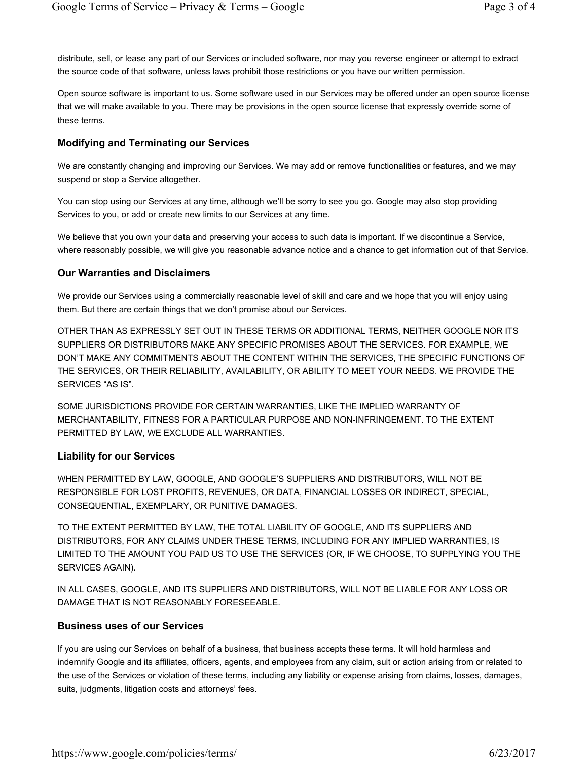distribute, sell, or lease any part of our Services or included software, nor may you reverse engineer or attempt to extract the source code of that software, unless laws prohibit those restrictions or you have our written permission.

Open source software is important to us. Some software used in our Services may be offered under an open source license that we will make available to you. There may be provisions in the open source license that expressly override some of these terms.

#### **Modifying and Terminating our Services**

We are constantly changing and improving our Services. We may add or remove functionalities or features, and we may suspend or stop a Service altogether.

You can stop using our Services at any time, although we'll be sorry to see you go. Google may also stop providing Services to you, or add or create new limits to our Services at any time.

We believe that you own your data and preserving your access to such data is important. If we discontinue a Service, where reasonably possible, we will give you reasonable advance notice and a chance to get information out of that Service.

#### **Our Warranties and Disclaimers**

We provide our Services using a commercially reasonable level of skill and care and we hope that you will enjoy using them. But there are certain things that we don't promise about our Services.

OTHER THAN AS EXPRESSLY SET OUT IN THESE TERMS OR ADDITIONAL TERMS, NEITHER GOOGLE NOR ITS SUPPLIERS OR DISTRIBUTORS MAKE ANY SPECIFIC PROMISES ABOUT THE SERVICES. FOR EXAMPLE, WE DON'T MAKE ANY COMMITMENTS ABOUT THE CONTENT WITHIN THE SERVICES, THE SPECIFIC FUNCTIONS OF THE SERVICES, OR THEIR RELIABILITY, AVAILABILITY, OR ABILITY TO MEET YOUR NEEDS. WE PROVIDE THE SERVICES "AS IS".

SOME JURISDICTIONS PROVIDE FOR CERTAIN WARRANTIES, LIKE THE IMPLIED WARRANTY OF MERCHANTABILITY, FITNESS FOR A PARTICULAR PURPOSE AND NON-INFRINGEMENT. TO THE EXTENT PERMITTED BY LAW, WE EXCLUDE ALL WARRANTIES.

#### **Liability for our Services**

WHEN PERMITTED BY LAW, GOOGLE, AND GOOGLE'S SUPPLIERS AND DISTRIBUTORS, WILL NOT BE RESPONSIBLE FOR LOST PROFITS, REVENUES, OR DATA, FINANCIAL LOSSES OR INDIRECT, SPECIAL, CONSEQUENTIAL, EXEMPLARY, OR PUNITIVE DAMAGES.

TO THE EXTENT PERMITTED BY LAW, THE TOTAL LIABILITY OF GOOGLE, AND ITS SUPPLIERS AND DISTRIBUTORS, FOR ANY CLAIMS UNDER THESE TERMS, INCLUDING FOR ANY IMPLIED WARRANTIES, IS LIMITED TO THE AMOUNT YOU PAID US TO USE THE SERVICES (OR, IF WE CHOOSE, TO SUPPLYING YOU THE SERVICES AGAIN).

IN ALL CASES, GOOGLE, AND ITS SUPPLIERS AND DISTRIBUTORS, WILL NOT BE LIABLE FOR ANY LOSS OR DAMAGE THAT IS NOT REASONABLY FORESEEABLE.

#### **Business uses of our Services**

If you are using our Services on behalf of a business, that business accepts these terms. It will hold harmless and indemnify Google and its affiliates, officers, agents, and employees from any claim, suit or action arising from or related to the use of the Services or violation of these terms, including any liability or expense arising from claims, losses, damages, suits, judgments, litigation costs and attorneys' fees.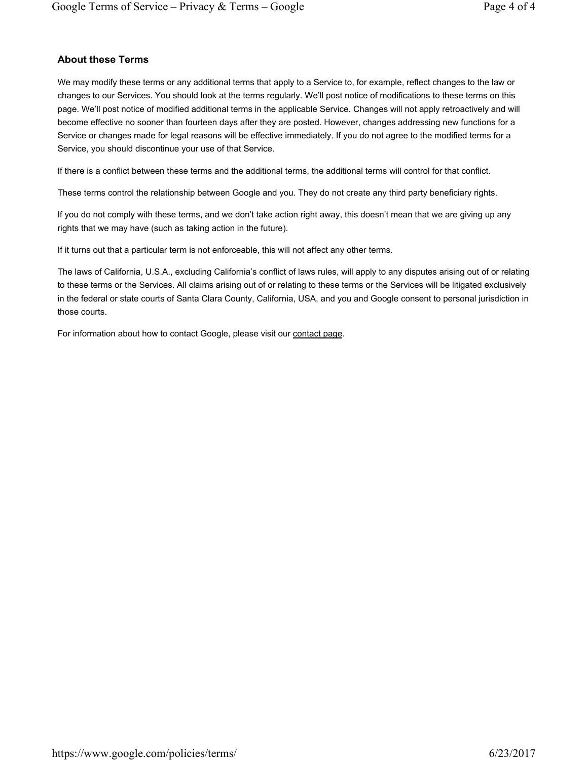#### **About these Terms**

We may modify these terms or any additional terms that apply to a Service to, for example, reflect changes to the law or changes to our Services. You should look at the terms regularly. We'll post notice of modifications to these terms on this page. We'll post notice of modified additional terms in the applicable Service. Changes will not apply retroactively and will become effective no sooner than fourteen days after they are posted. However, changes addressing new functions for a Service or changes made for legal reasons will be effective immediately. If you do not agree to the modified terms for a Service, you should discontinue your use of that Service.

If there is a conflict between these terms and the additional terms, the additional terms will control for that conflict.

These terms control the relationship between Google and you. They do not create any third party beneficiary rights.

If you do not comply with these terms, and we don't take action right away, this doesn't mean that we are giving up any rights that we may have (such as taking action in the future).

If it turns out that a particular term is not enforceable, this will not affect any other terms.

The laws of California, U.S.A., excluding California's conflict of laws rules, will apply to any disputes arising out of or relating to these terms or the Services. All claims arising out of or relating to these terms or the Services will be litigated exclusively in the federal or state courts of Santa Clara County, California, USA, and you and Google consent to personal jurisdiction in those courts.

For information about how to contact Google, please visit our contact page.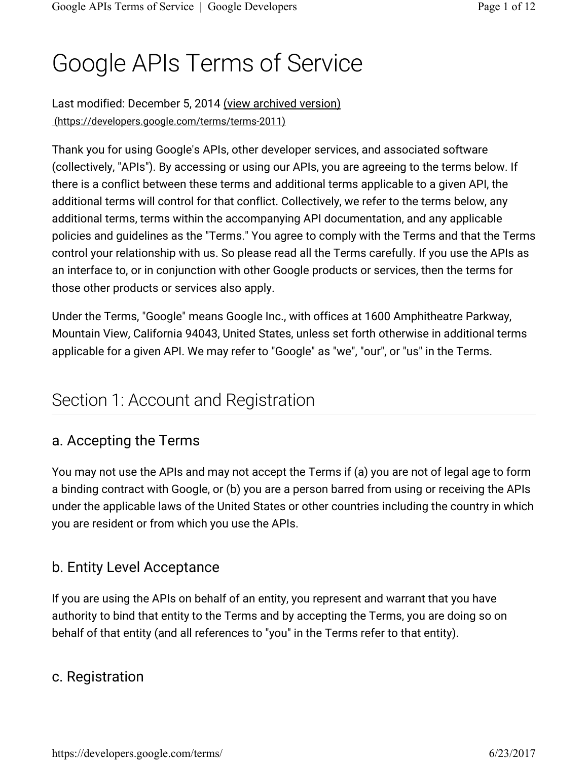# Google APIs Terms of Service

## Last modified: December 5, 2014 (view archived version) (https://developers.google.com/terms/terms-2011)

Thank you for using Google's APIs, other developer services, and associated software (collectively, "APIs"). By accessing or using our APIs, you are agreeing to the terms below. If there is a conflict between these terms and additional terms applicable to a given API, the additional terms will control for that conflict. Collectively, we refer to the terms below, any additional terms, terms within the accompanying API documentation, and any applicable policies and guidelines as the "Terms." You agree to comply with the Terms and that the Terms control your relationship with us. So please read all the Terms carefully. If you use the APIs as an interface to, or in conjunction with other Google products or services, then the terms for those other products or services also apply.

Under the Terms, "Google" means Google Inc., with offices at 1600 Amphitheatre Parkway, Mountain View, California 94043, United States, unless set forth otherwise in additional terms applicable for a given API. We may refer to "Google" as "we", "our", or "us" in the Terms.

## Section 1: Account and Registration

## a. Accepting the Terms

You may not use the APIs and may not accept the Terms if (a) you are not of legal age to form a binding contract with Google, or (b) you are a person barred from using or receiving the APIs under the applicable laws of the United States or other countries including the country in which you are resident or from which you use the APIs.

## b. Entity Level Acceptance

If you are using the APIs on behalf of an entity, you represent and warrant that you have authority to bind that entity to the Terms and by accepting the Terms, you are doing so on behalf of that entity (and all references to "you" in the Terms refer to that entity).

## c. Registration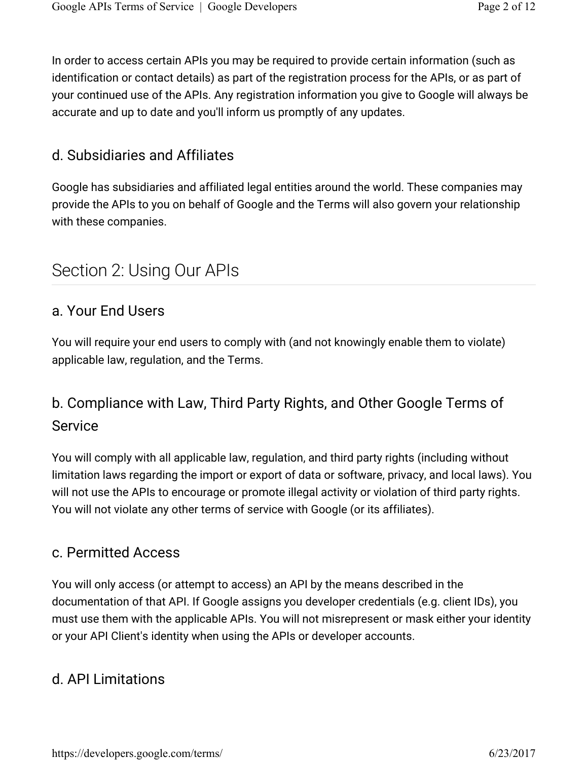In order to access certain APIs you may be required to provide certain information (such as identification or contact details) as part of the registration process for the APIs, or as part of your continued use of the APIs. Any registration information you give to Google will always be accurate and up to date and you'll inform us promptly of any updates.

## d. Subsidiaries and Affiliates

Google has subsidiaries and affiliated legal entities around the world. These companies may provide the APIs to you on behalf of Google and the Terms will also govern your relationship with these companies.

## Section 2: Using Our APIs

## a. Your End Users

You will require your end users to comply with (and not knowingly enable them to violate) applicable law, regulation, and the Terms.

## b. Compliance with Law, Third Party Rights, and Other Google Terms of Service

You will comply with all applicable law, regulation, and third party rights (including without limitation laws regarding the import or export of data or software, privacy, and local laws). You will not use the APIs to encourage or promote illegal activity or violation of third party rights. You will not violate any other terms of service with Google (or its affiliates).

## c. Permitted Access

You will only access (or attempt to access) an API by the means described in the documentation of that API. If Google assigns you developer credentials (e.g. client IDs), you must use them with the applicable APIs. You will not misrepresent or mask either your identity or your API Client's identity when using the APIs or developer accounts.

## d. API Limitations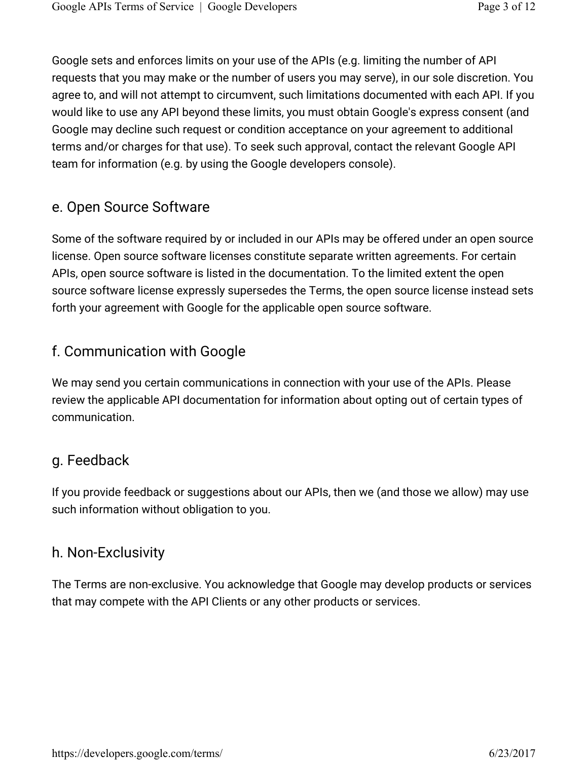Google sets and enforces limits on your use of the APIs (e.g. limiting the number of API requests that you may make or the number of users you may serve), in our sole discretion. You agree to, and will not attempt to circumvent, such limitations documented with each API. If you would like to use any API beyond these limits, you must obtain Google's express consent (and Google may decline such request or condition acceptance on your agreement to additional terms and/or charges for that use). To seek such approval, contact the relevant Google API team for information (e.g. by using the Google developers console).

## e. Open Source Software

Some of the software required by or included in our APIs may be offered under an open source license. Open source software licenses constitute separate written agreements. For certain APIs, open source software is listed in the documentation. To the limited extent the open source software license expressly supersedes the Terms, the open source license instead sets forth your agreement with Google for the applicable open source software.

## f. Communication with Google

We may send you certain communications in connection with your use of the APIs. Please review the applicable API documentation for information about opting out of certain types of communication.

## g. Feedback

If you provide feedback or suggestions about our APIs, then we (and those we allow) may use such information without obligation to you.

## h. Non-Exclusivity

The Terms are non-exclusive. You acknowledge that Google may develop products or services that may compete with the API Clients or any other products or services.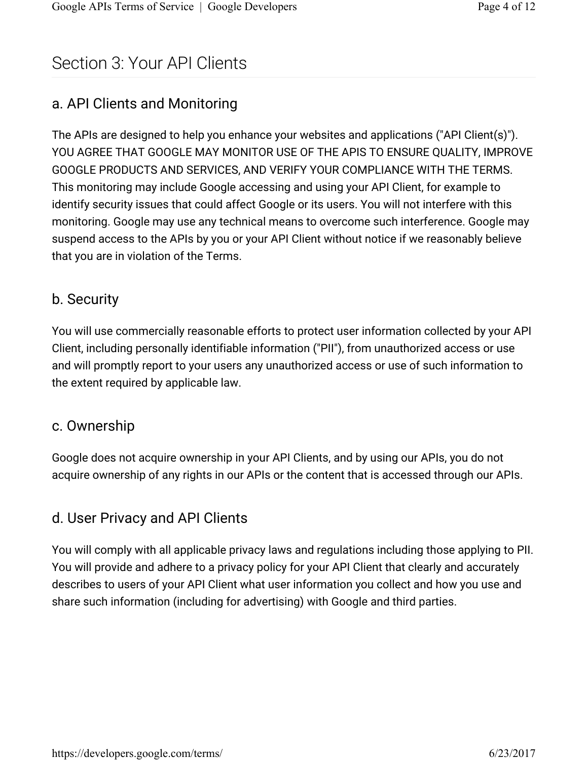## Section 3: Your API Clients

## a. API Clients and Monitoring

The APIs are designed to help you enhance your websites and applications ("API Client(s)"). YOU AGREE THAT GOOGLE MAY MONITOR USE OF THE APIS TO ENSURE QUALITY, IMPROVE GOOGLE PRODUCTS AND SERVICES, AND VERIFY YOUR COMPLIANCE WITH THE TERMS. This monitoring may include Google accessing and using your API Client, for example to identify security issues that could affect Google or its users. You will not interfere with this monitoring. Google may use any technical means to overcome such interference. Google may suspend access to the APIs by you or your API Client without notice if we reasonably believe that you are in violation of the Terms.

## b. Security

You will use commercially reasonable efforts to protect user information collected by your API Client, including personally identifiable information ("PII"), from unauthorized access or use and will promptly report to your users any unauthorized access or use of such information to the extent required by applicable law.

## c. Ownership

Google does not acquire ownership in your API Clients, and by using our APIs, you do not acquire ownership of any rights in our APIs or the content that is accessed through our APIs.

## d. User Privacy and API Clients

You will comply with all applicable privacy laws and regulations including those applying to PII. You will provide and adhere to a privacy policy for your API Client that clearly and accurately describes to users of your API Client what user information you collect and how you use and share such information (including for advertising) with Google and third parties.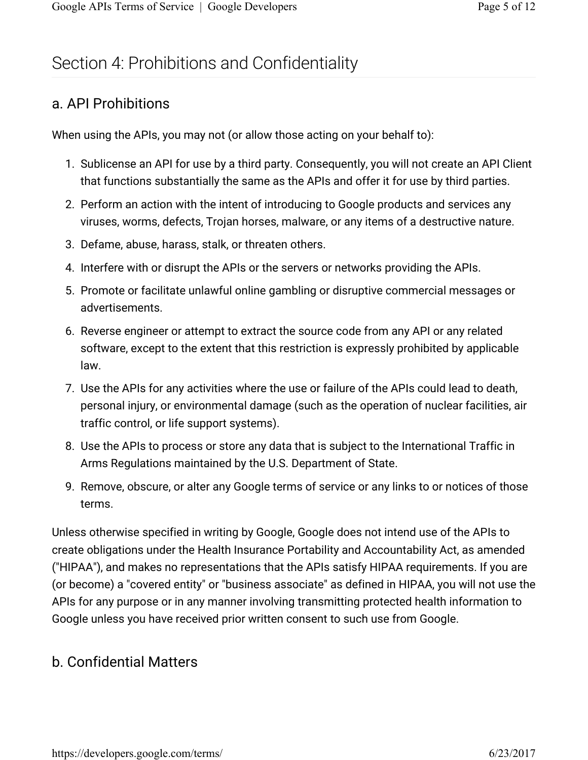## Section 4: Prohibitions and Confidentiality

## a. API Prohibitions

When using the APIs, you may not (or allow those acting on your behalf to):

- 1. Sublicense an API for use by a third party. Consequently, you will not create an API Client that functions substantially the same as the APIs and offer it for use by third parties.
- 2. Perform an action with the intent of introducing to Google products and services any viruses, worms, defects, Trojan horses, malware, or any items of a destructive nature.
- 3. Defame, abuse, harass, stalk, or threaten others.
- 4. Interfere with or disrupt the APIs or the servers or networks providing the APIs.
- 5. Promote or facilitate unlawful online gambling or disruptive commercial messages or advertisements.
- 6. Reverse engineer or attempt to extract the source code from any API or any related software, except to the extent that this restriction is expressly prohibited by applicable law.
- 7. Use the APIs for any activities where the use or failure of the APIs could lead to death, personal injury, or environmental damage (such as the operation of nuclear facilities, air traffic control, or life support systems).
- 8. Use the APIs to process or store any data that is subject to the International Traffic in Arms Regulations maintained by the U.S. Department of State.
- 9. Remove, obscure, or alter any Google terms of service or any links to or notices of those terms.

Unless otherwise specified in writing by Google, Google does not intend use of the APIs to create obligations under the Health Insurance Portability and Accountability Act, as amended ("HIPAA"), and makes no representations that the APIs satisfy HIPAA requirements. If you are (or become) a "covered entity" or "business associate" as defined in HIPAA, you will not use the APIs for any purpose or in any manner involving transmitting protected health information to Google unless you have received prior written consent to such use from Google.

## b. Confidential Matters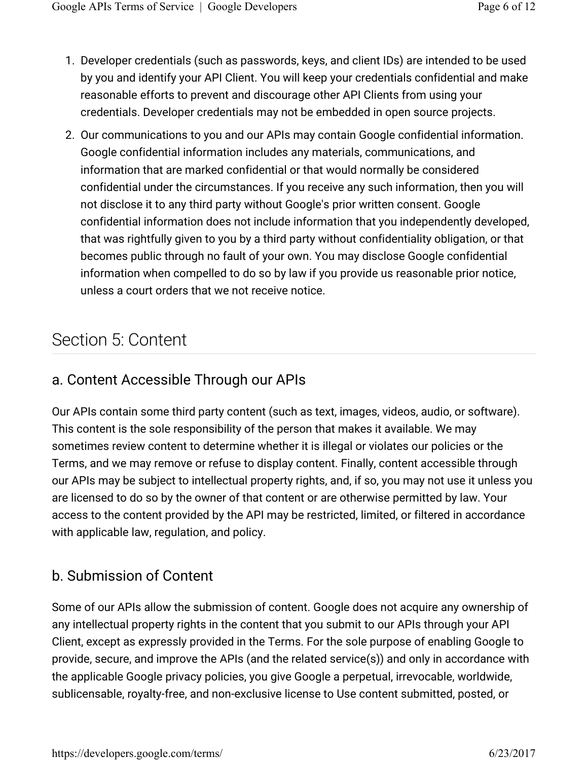- 1. Developer credentials (such as passwords, keys, and client IDs) are intended to be used by you and identify your API Client. You will keep your credentials confidential and make reasonable efforts to prevent and discourage other API Clients from using your credentials. Developer credentials may not be embedded in open source projects.
- 2. Our communications to you and our APIs may contain Google confidential information. Google confidential information includes any materials, communications, and information that are marked confidential or that would normally be considered confidential under the circumstances. If you receive any such information, then you will not disclose it to any third party without Google's prior written consent. Google confidential information does not include information that you independently developed, that was rightfully given to you by a third party without confidentiality obligation, or that becomes public through no fault of your own. You may disclose Google confidential information when compelled to do so by law if you provide us reasonable prior notice, unless a court orders that we not receive notice.

## Section 5: Content

## a. Content Accessible Through our APIs

Our APIs contain some third party content (such as text, images, videos, audio, or software). This content is the sole responsibility of the person that makes it available. We may sometimes review content to determine whether it is illegal or violates our policies or the Terms, and we may remove or refuse to display content. Finally, content accessible through our APIs may be subject to intellectual property rights, and, if so, you may not use it unless you are licensed to do so by the owner of that content or are otherwise permitted by law. Your access to the content provided by the API may be restricted, limited, or filtered in accordance with applicable law, regulation, and policy.

## b. Submission of Content

Some of our APIs allow the submission of content. Google does not acquire any ownership of any intellectual property rights in the content that you submit to our APIs through your API Client, except as expressly provided in the Terms. For the sole purpose of enabling Google to provide, secure, and improve the APIs (and the related service(s)) and only in accordance with the applicable Google privacy policies, you give Google a perpetual, irrevocable, worldwide, sublicensable, royalty-free, and non-exclusive license to Use content submitted, posted, or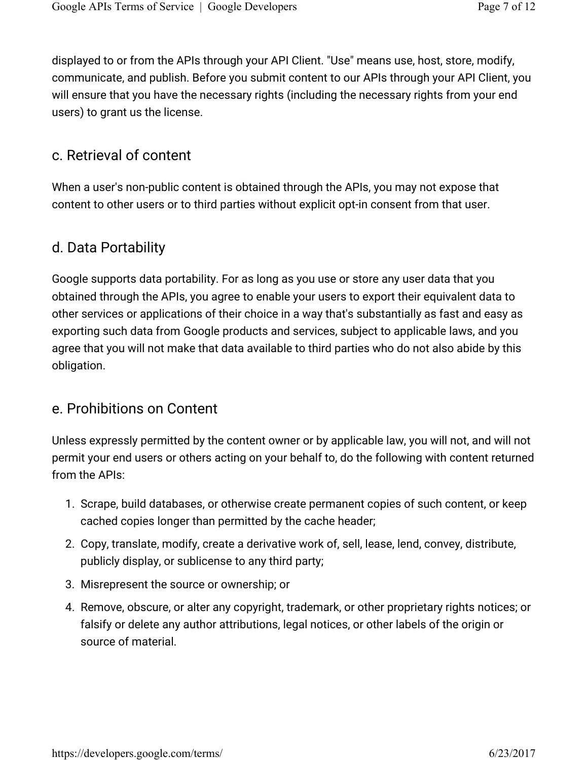displayed to or from the APIs through your API Client. "Use" means use, host, store, modify, communicate, and publish. Before you submit content to our APIs through your API Client, you will ensure that you have the necessary rights (including the necessary rights from your end users) to grant us the license.

## c. Retrieval of content

When a user's non-public content is obtained through the APIs, you may not expose that content to other users or to third parties without explicit opt-in consent from that user.

## d. Data Portability

Google supports data portability. For as long as you use or store any user data that you obtained through the APIs, you agree to enable your users to export their equivalent data to other services or applications of their choice in a way that's substantially as fast and easy as exporting such data from Google products and services, subject to applicable laws, and you agree that you will not make that data available to third parties who do not also abide by this obligation.

## e. Prohibitions on Content

Unless expressly permitted by the content owner or by applicable law, you will not, and will not permit your end users or others acting on your behalf to, do the following with content returned from the APIs:

- 1. Scrape, build databases, or otherwise create permanent copies of such content, or keep cached copies longer than permitted by the cache header;
- 2. Copy, translate, modify, create a derivative work of, sell, lease, lend, convey, distribute, publicly display, or sublicense to any third party;
- 3. Misrepresent the source or ownership; or
- 4. Remove, obscure, or alter any copyright, trademark, or other proprietary rights notices; or falsify or delete any author attributions, legal notices, or other labels of the origin or source of material.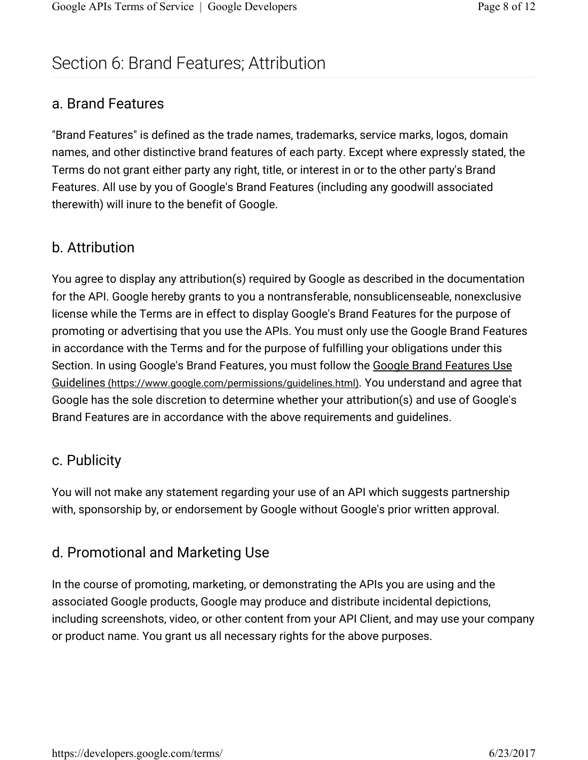## Section 6: Brand Features; Attribution

## a. Brand Features

"Brand Features" is defined as the trade names, trademarks, service marks, logos, domain names, and other distinctive brand features of each party. Except where expressly stated, the Terms do not grant either party any right, title, or interest in or to the other party's Brand Features. All use by you of Google's Brand Features (including any goodwill associated therewith) will inure to the benefit of Google.

## b. Attribution

You agree to display any attribution(s) required by Google as described in the documentation for the API. Google hereby grants to you a nontransferable, nonsublicenseable, nonexclusive license while the Terms are in effect to display Google's Brand Features for the purpose of promoting or advertising that you use the APIs. You must only use the Google Brand Features in accordance with the Terms and for the purpose of fulfilling your obligations under this Section. In using Google's Brand Features, you must follow the Google Brand Features Use Guidelines (https://www.google.com/permissions/guidelines.html). You understand and agree that Google has the sole discretion to determine whether your attribution(s) and use of Google's Brand Features are in accordance with the above requirements and guidelines.

## c. Publicity

You will not make any statement regarding your use of an API which suggests partnership with, sponsorship by, or endorsement by Google without Google's prior written approval.

## d. Promotional and Marketing Use

In the course of promoting, marketing, or demonstrating the APIs you are using and the associated Google products, Google may produce and distribute incidental depictions, including screenshots, video, or other content from your API Client, and may use your company or product name. You grant us all necessary rights for the above purposes.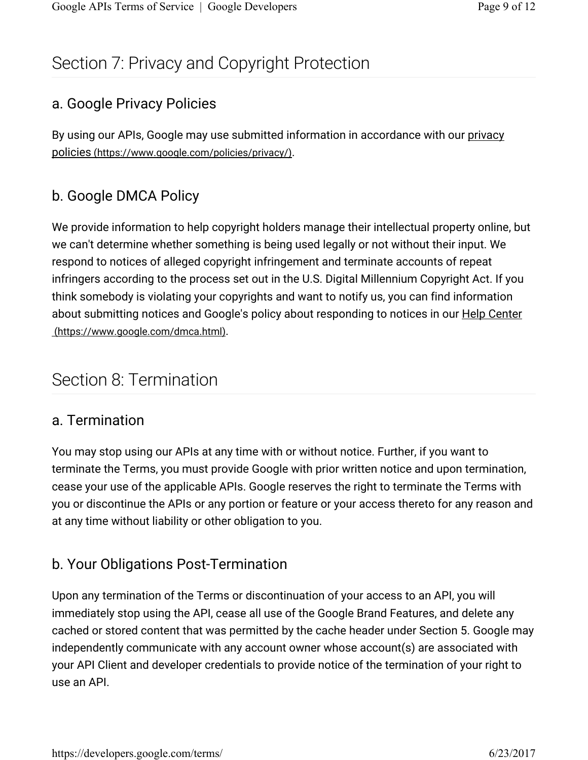## Section 7: Privacy and Copyright Protection

## a. Google Privacy Policies

By using our APIs, Google may use submitted information in accordance with our privacy policies (https://www.google.com/policies/privacy/).

## b. Google DMCA Policy

We provide information to help copyright holders manage their intellectual property online, but we can't determine whether something is being used legally or not without their input. We respond to notices of alleged copyright infringement and terminate accounts of repeat infringers according to the process set out in the U.S. Digital Millennium Copyright Act. If you think somebody is violating your copyrights and want to notify us, you can find information about submitting notices and Google's policy about responding to notices in our **Help Center** (https://www.google.com/dmca.html).

## Section 8: Termination

## a. Termination

You may stop using our APIs at any time with or without notice. Further, if you want to terminate the Terms, you must provide Google with prior written notice and upon termination, cease your use of the applicable APIs. Google reserves the right to terminate the Terms with you or discontinue the APIs or any portion or feature or your access thereto for any reason and at any time without liability or other obligation to you.

## b. Your Obligations Post-Termination

Upon any termination of the Terms or discontinuation of your access to an API, you will immediately stop using the API, cease all use of the Google Brand Features, and delete any cached or stored content that was permitted by the cache header under Section 5. Google may independently communicate with any account owner whose account(s) are associated with your API Client and developer credentials to provide notice of the termination of your right to use an API.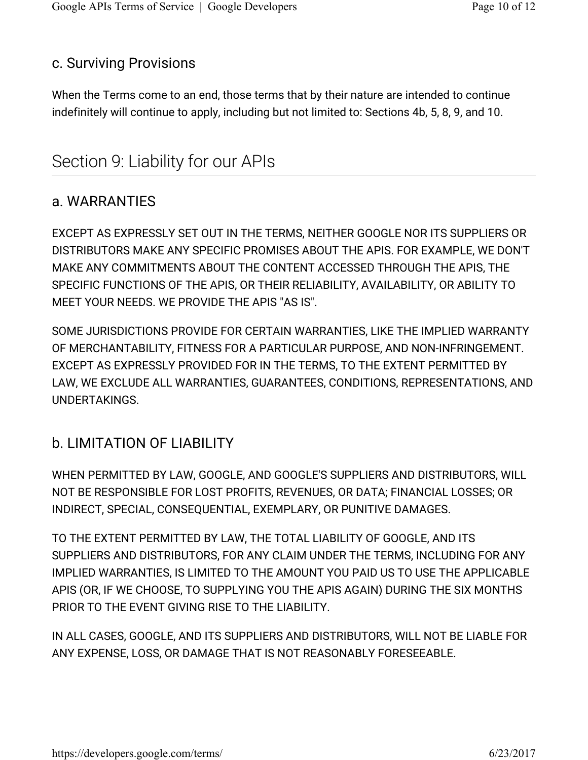## c. Surviving Provisions

When the Terms come to an end, those terms that by their nature are intended to continue indefinitely will continue to apply, including but not limited to: Sections 4b, 5, 8, 9, and 10.

## Section 9: Liability for our APIs

## a. WARRANTIES

EXCEPT AS EXPRESSLY SET OUT IN THE TERMS, NEITHER GOOGLE NOR ITS SUPPLIERS OR DISTRIBUTORS MAKE ANY SPECIFIC PROMISES ABOUT THE APIS. FOR EXAMPLE, WE DON'T MAKE ANY COMMITMENTS ABOUT THE CONTENT ACCESSED THROUGH THE APIS, THE SPECIFIC FUNCTIONS OF THE APIS, OR THEIR RELIABILITY, AVAILABILITY, OR ABILITY TO MEET YOUR NEEDS. WE PROVIDE THE APIS "AS IS".

SOME JURISDICTIONS PROVIDE FOR CERTAIN WARRANTIES, LIKE THE IMPLIED WARRANTY OF MERCHANTABILITY, FITNESS FOR A PARTICULAR PURPOSE, AND NON-INFRINGEMENT. EXCEPT AS EXPRESSLY PROVIDED FOR IN THE TERMS, TO THE EXTENT PERMITTED BY LAW, WE EXCLUDE ALL WARRANTIES, GUARANTEES, CONDITIONS, REPRESENTATIONS, AND UNDERTAKINGS.

## b. LIMITATION OF LIABILITY

WHEN PERMITTED BY LAW, GOOGLE, AND GOOGLE'S SUPPLIERS AND DISTRIBUTORS, WILL NOT BE RESPONSIBLE FOR LOST PROFITS, REVENUES, OR DATA; FINANCIAL LOSSES; OR INDIRECT, SPECIAL, CONSEQUENTIAL, EXEMPLARY, OR PUNITIVE DAMAGES.

TO THE EXTENT PERMITTED BY LAW, THE TOTAL LIABILITY OF GOOGLE, AND ITS SUPPLIERS AND DISTRIBUTORS, FOR ANY CLAIM UNDER THE TERMS, INCLUDING FOR ANY IMPLIED WARRANTIES, IS LIMITED TO THE AMOUNT YOU PAID US TO USE THE APPLICABLE APIS (OR, IF WE CHOOSE, TO SUPPLYING YOU THE APIS AGAIN) DURING THE SIX MONTHS PRIOR TO THE EVENT GIVING RISE TO THE LIABILITY.

IN ALL CASES, GOOGLE, AND ITS SUPPLIERS AND DISTRIBUTORS, WILL NOT BE LIABLE FOR ANY EXPENSE, LOSS, OR DAMAGE THAT IS NOT REASONABLY FORESEEABLE.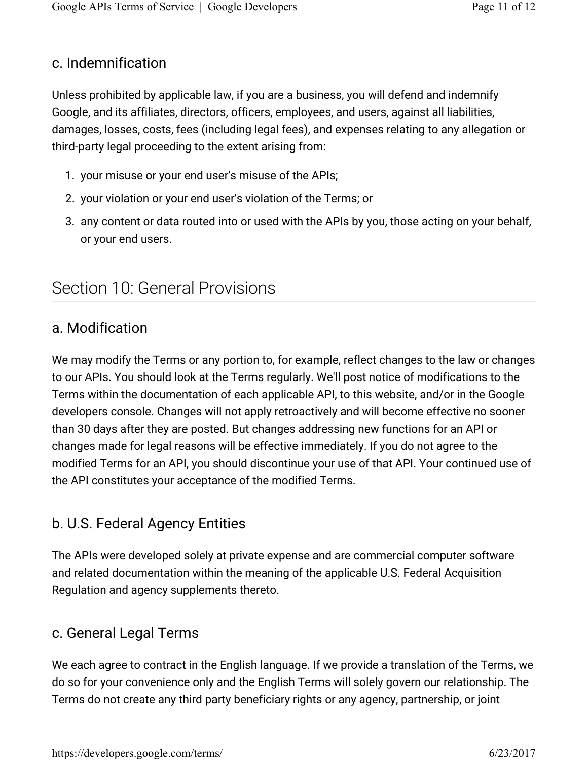## c. Indemnification

Unless prohibited by applicable law, if you are a business, you will defend and indemnify Google, and its affiliates, directors, officers, employees, and users, against all liabilities, damages, losses, costs, fees (including legal fees), and expenses relating to any allegation or third-party legal proceeding to the extent arising from:

- 1. your misuse or your end user's misuse of the APIs;
- 2. your violation or your end user's violation of the Terms; or
- 3. any content or data routed into or used with the APIs by you, those acting on your behalf, or your end users.

## Section 10: General Provisions

## a. Modification

We may modify the Terms or any portion to, for example, reflect changes to the law or changes to our APIs. You should look at the Terms regularly. We'll post notice of modifications to the Terms within the documentation of each applicable API, to this website, and/or in the Google developers console. Changes will not apply retroactively and will become effective no sooner than 30 days after they are posted. But changes addressing new functions for an API or changes made for legal reasons will be effective immediately. If you do not agree to the modified Terms for an API, you should discontinue your use of that API. Your continued use of the API constitutes your acceptance of the modified Terms.

## b. U.S. Federal Agency Entities

The APIs were developed solely at private expense and are commercial computer software and related documentation within the meaning of the applicable U.S. Federal Acquisition Regulation and agency supplements thereto.

## c. General Legal Terms

We each agree to contract in the English language. If we provide a translation of the Terms, we do so for your convenience only and the English Terms will solely govern our relationship. The Terms do not create any third party beneficiary rights or any agency, partnership, or joint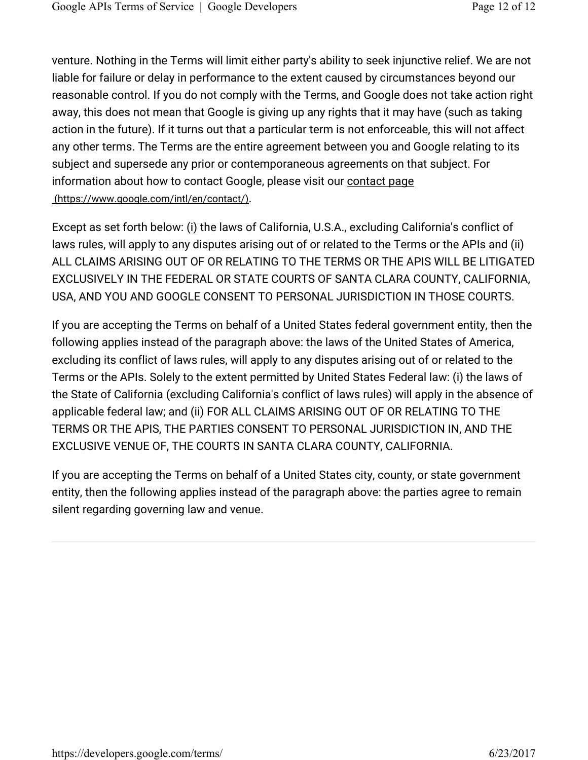venture. Nothing in the Terms will limit either party's ability to seek injunctive relief. We are not liable for failure or delay in performance to the extent caused by circumstances beyond our reasonable control. If you do not comply with the Terms, and Google does not take action right away, this does not mean that Google is giving up any rights that it may have (such as taking action in the future). If it turns out that a particular term is not enforceable, this will not affect any other terms. The Terms are the entire agreement between you and Google relating to its subject and supersede any prior or contemporaneous agreements on that subject. For information about how to contact Google, please visit our contact page (https://www.google.com/intl/en/contact/).

Except as set forth below: (i) the laws of California, U.S.A., excluding California's conflict of laws rules, will apply to any disputes arising out of or related to the Terms or the APIs and (ii) ALL CLAIMS ARISING OUT OF OR RELATING TO THE TERMS OR THE APIS WILL BE LITIGATED EXCLUSIVELY IN THE FEDERAL OR STATE COURTS OF SANTA CLARA COUNTY, CALIFORNIA, USA, AND YOU AND GOOGLE CONSENT TO PERSONAL JURISDICTION IN THOSE COURTS.

If you are accepting the Terms on behalf of a United States federal government entity, then the following applies instead of the paragraph above: the laws of the United States of America, excluding its conflict of laws rules, will apply to any disputes arising out of or related to the Terms or the APIs. Solely to the extent permitted by United States Federal law: (i) the laws of the State of California (excluding California's conflict of laws rules) will apply in the absence of applicable federal law; and (ii) FOR ALL CLAIMS ARISING OUT OF OR RELATING TO THE TERMS OR THE APIS, THE PARTIES CONSENT TO PERSONAL JURISDICTION IN, AND THE EXCLUSIVE VENUE OF, THE COURTS IN SANTA CLARA COUNTY, CALIFORNIA.

If you are accepting the Terms on behalf of a United States city, county, or state government entity, then the following applies instead of the paragraph above: the parties agree to remain silent regarding governing law and venue.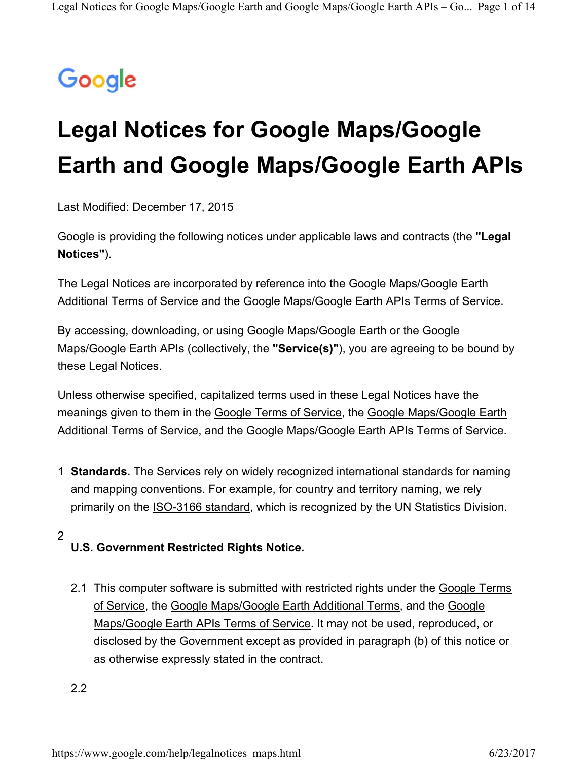# Google

# **Legal Notices for Google Maps/Google Earth and Google Maps/Google Earth APIs**

Last Modified: December 17, 2015

Google is providing the following notices under applicable laws and contracts (the **"Legal Notices"**).

The Legal Notices are incorporated by reference into the Google Maps/Google Earth Additional Terms of Service and the Google Maps/Google Earth APIs Terms of Service.

By accessing, downloading, or using Google Maps/Google Earth or the Google Maps/Google Earth APIs (collectively, the **"Service(s)"**), you are agreeing to be bound by these Legal Notices.

Unless otherwise specified, capitalized terms used in these Legal Notices have the meanings given to them in the Google Terms of Service, the Google Maps/Google Earth Additional Terms of Service, and the Google Maps/Google Earth APIs Terms of Service.

- 1 **Standards.** The Services rely on widely recognized international standards for naming and mapping conventions. For example, for country and territory naming, we rely primarily on the ISO-3166 standard, which is recognized by the UN Statistics Division.
- 2 **U.S. Government Restricted Rights Notice.**
	- 2.1 This computer software is submitted with restricted rights under the Google Terms of Service, the Google Maps/Google Earth Additional Terms, and the Google Maps/Google Earth APIs Terms of Service. It may not be used, reproduced, or disclosed by the Government except as provided in paragraph (b) of this notice or as otherwise expressly stated in the contract.

2.2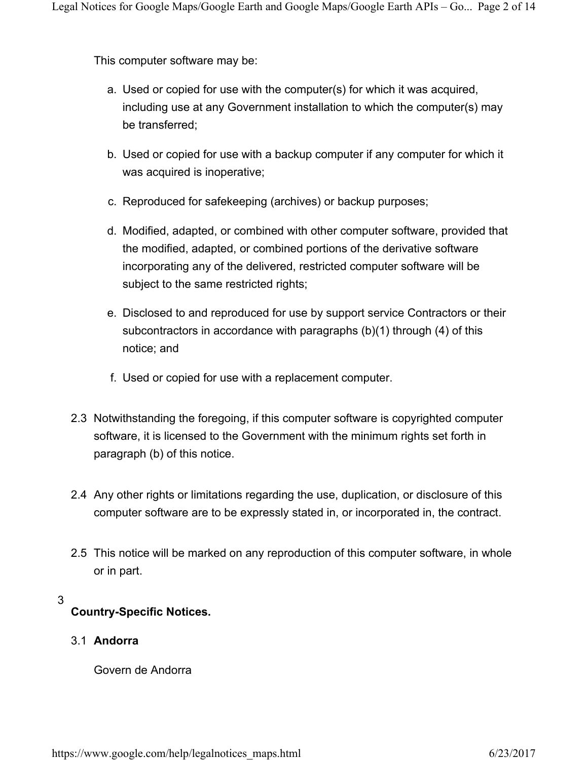This computer software may be:

- a. Used or copied for use with the computer(s) for which it was acquired, including use at any Government installation to which the computer(s) may be transferred;
- b. Used or copied for use with a backup computer if any computer for which it was acquired is inoperative;
- c. Reproduced for safekeeping (archives) or backup purposes;
- d. Modified, adapted, or combined with other computer software, provided that the modified, adapted, or combined portions of the derivative software incorporating any of the delivered, restricted computer software will be subject to the same restricted rights;
- e. Disclosed to and reproduced for use by support service Contractors or their subcontractors in accordance with paragraphs (b)(1) through (4) of this notice; and
- f. Used or copied for use with a replacement computer.
- 2.3 Notwithstanding the foregoing, if this computer software is copyrighted computer software, it is licensed to the Government with the minimum rights set forth in paragraph (b) of this notice.
- 2.4 Any other rights or limitations regarding the use, duplication, or disclosure of this computer software are to be expressly stated in, or incorporated in, the contract.
- 2.5 This notice will be marked on any reproduction of this computer software, in whole or in part.

#### 3

## **Country-Specific Notices.**

## 3.1 **Andorra**

Govern de Andorra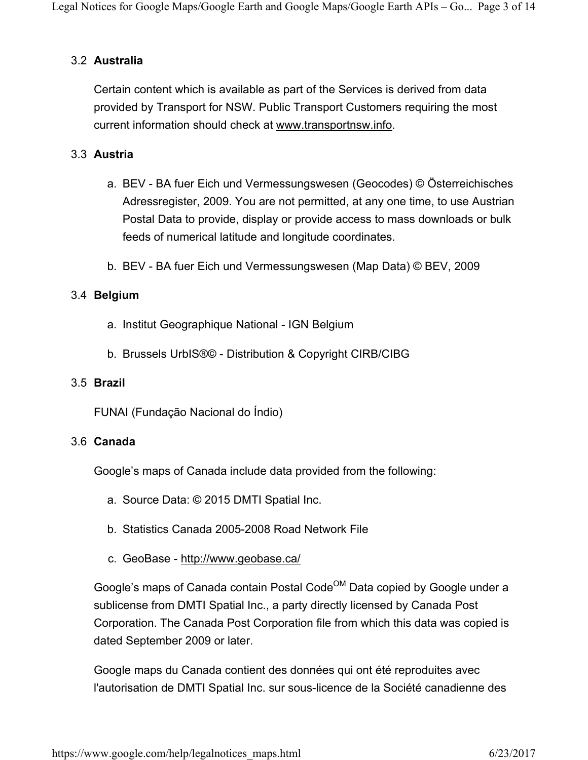## 3.2 **Australia**

Certain content which is available as part of the Services is derived from data provided by Transport for NSW. Public Transport Customers requiring the most current information should check at www.transportnsw.info.

## 3.3 **Austria**

- a. BEV BA fuer Eich und Vermessungswesen (Geocodes) © Österreichisches Adressregister, 2009. You are not permitted, at any one time, to use Austrian Postal Data to provide, display or provide access to mass downloads or bulk feeds of numerical latitude and longitude coordinates.
- b. BEV BA fuer Eich und Vermessungswesen (Map Data) © BEV, 2009

#### 3.4 **Belgium**

- a. Institut Geographique National IGN Belgium
- b. Brussels UrbIS®© Distribution & Copyright CIRB/CIBG

#### 3.5 **Brazil**

FUNAI (Fundação Nacional do Índio)

#### 3.6 **Canada**

Google's maps of Canada include data provided from the following:

- a. Source Data: © 2015 DMTI Spatial Inc.
- b. Statistics Canada 2005-2008 Road Network File
- c. GeoBase http://www.geobase.ca/

Google's maps of Canada contain Postal Code<sup>OM</sup> Data copied by Google under a sublicense from DMTI Spatial Inc., a party directly licensed by Canada Post Corporation. The Canada Post Corporation file from which this data was copied is dated September 2009 or later.

Google maps du Canada contient des données qui ont été reproduites avec l'autorisation de DMTI Spatial Inc. sur sous-licence de la Société canadienne des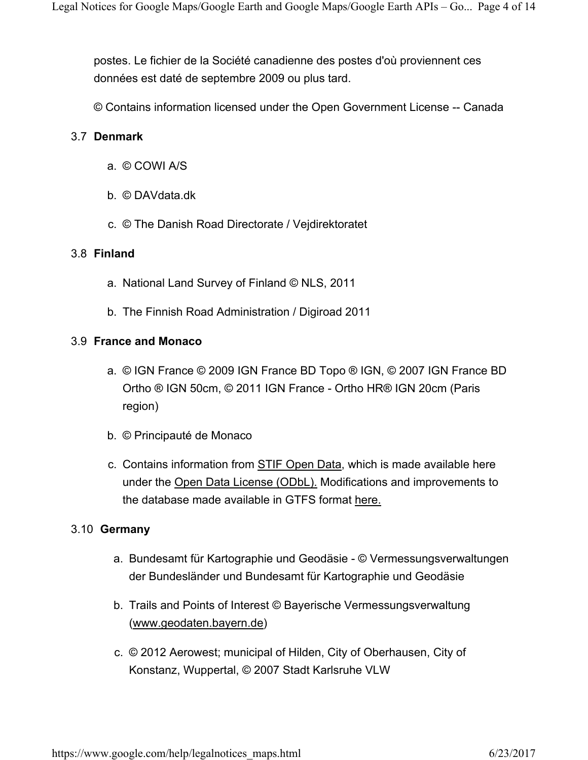postes. Le fichier de la Société canadienne des postes d'où proviennent ces données est daté de septembre 2009 ou plus tard.

© Contains information licensed under the Open Government License -- Canada

#### 3.7 **Denmark**

- a. © COWI A/S
- b. © DAVdata.dk
- c. © The Danish Road Directorate / Vejdirektoratet

#### 3.8 **Finland**

- a. National Land Survey of Finland © NLS, 2011
- b. The Finnish Road Administration / Digiroad 2011

#### 3.9 **France and Monaco**

- a. © IGN France © 2009 IGN France BD Topo ® IGN, © 2007 IGN France BD Ortho ® IGN 50cm, © 2011 IGN France - Ortho HR® IGN 20cm (Paris region)
- b. © Principauté de Monaco
- c. Contains information from STIF Open Data, which is made available here under the Open Data License (ODbL). Modifications and improvements to the database made available in GTFS format here.

## 3.10 **Germany**

- a. Bundesamt für Kartographie und Geodäsie © Vermessungsverwaltungen der Bundesländer und Bundesamt für Kartographie und Geodäsie
- b. Trails and Points of Interest © Bayerische Vermessungsverwaltung (www.geodaten.bayern.de)
- c. © 2012 Aerowest; municipal of Hilden, City of Oberhausen, City of Konstanz, Wuppertal, © 2007 Stadt Karlsruhe VLW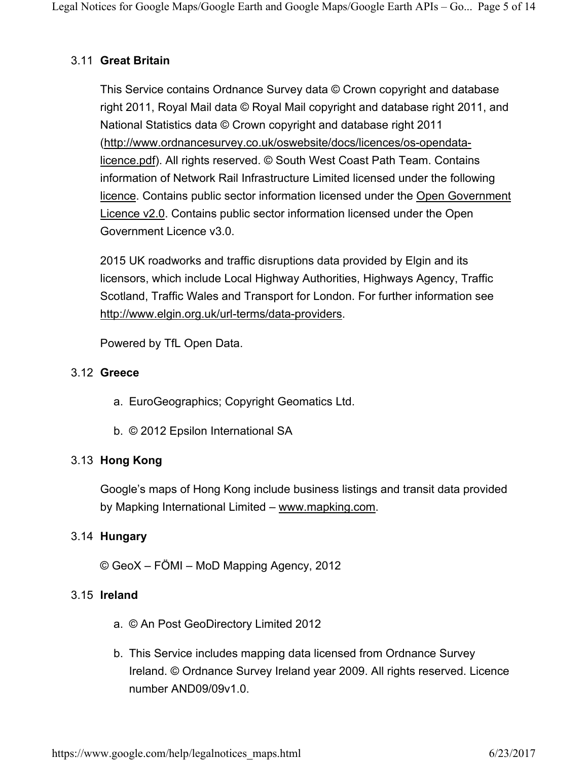## 3.11 **Great Britain**

This Service contains Ordnance Survey data © Crown copyright and database right 2011, Royal Mail data © Royal Mail copyright and database right 2011, and National Statistics data © Crown copyright and database right 2011 (http://www.ordnancesurvey.co.uk/oswebsite/docs/licences/os-opendatalicence.pdf). All rights reserved. © South West Coast Path Team. Contains information of Network Rail Infrastructure Limited licensed under the following licence. Contains public sector information licensed under the Open Government Licence v2.0. Contains public sector information licensed under the Open Government Licence v3.0.

2015 UK roadworks and traffic disruptions data provided by Elgin and its licensors, which include Local Highway Authorities, Highways Agency, Traffic Scotland, Traffic Wales and Transport for London. For further information see http://www.elgin.org.uk/url-terms/data-providers.

Powered by TfL Open Data.

## 3.12 **Greece**

- a. EuroGeographics; Copyright Geomatics Ltd.
- b. © 2012 Epsilon International SA

#### 3.13 **Hong Kong**

Google's maps of Hong Kong include business listings and transit data provided by Mapking International Limited – www.mapking.com.

#### 3.14 **Hungary**

© GeoX – FÖMI – MoD Mapping Agency, 2012

#### 3.15 **Ireland**

- a. © An Post GeoDirectory Limited 2012
- b. This Service includes mapping data licensed from Ordnance Survey Ireland. © Ordnance Survey Ireland year 2009. All rights reserved. Licence number AND09/09v1.0.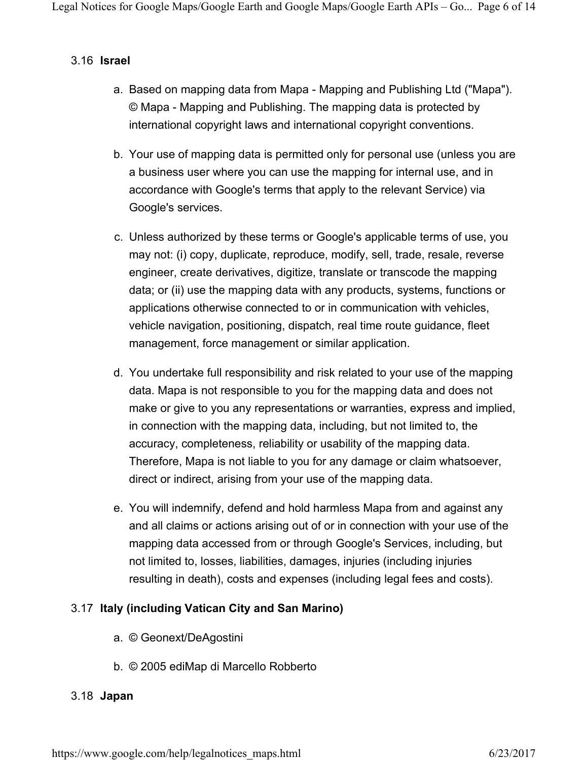#### 3.16 **Israel**

- a. Based on mapping data from Mapa Mapping and Publishing Ltd ("Mapa"). © Mapa - Mapping and Publishing. The mapping data is protected by international copyright laws and international copyright conventions.
- b. Your use of mapping data is permitted only for personal use (unless you are a business user where you can use the mapping for internal use, and in accordance with Google's terms that apply to the relevant Service) via Google's services.
- c. Unless authorized by these terms or Google's applicable terms of use, you may not: (i) copy, duplicate, reproduce, modify, sell, trade, resale, reverse engineer, create derivatives, digitize, translate or transcode the mapping data; or (ii) use the mapping data with any products, systems, functions or applications otherwise connected to or in communication with vehicles, vehicle navigation, positioning, dispatch, real time route guidance, fleet management, force management or similar application.
- d. You undertake full responsibility and risk related to your use of the mapping data. Mapa is not responsible to you for the mapping data and does not make or give to you any representations or warranties, express and implied, in connection with the mapping data, including, but not limited to, the accuracy, completeness, reliability or usability of the mapping data. Therefore, Mapa is not liable to you for any damage or claim whatsoever, direct or indirect, arising from your use of the mapping data.
- e. You will indemnify, defend and hold harmless Mapa from and against any and all claims or actions arising out of or in connection with your use of the mapping data accessed from or through Google's Services, including, but not limited to, losses, liabilities, damages, injuries (including injuries resulting in death), costs and expenses (including legal fees and costs).

## 3.17 **Italy (including Vatican City and San Marino)**

- a. © Geonext/DeAgostini
- b. © 2005 ediMap di Marcello Robberto

## 3.18 **Japan**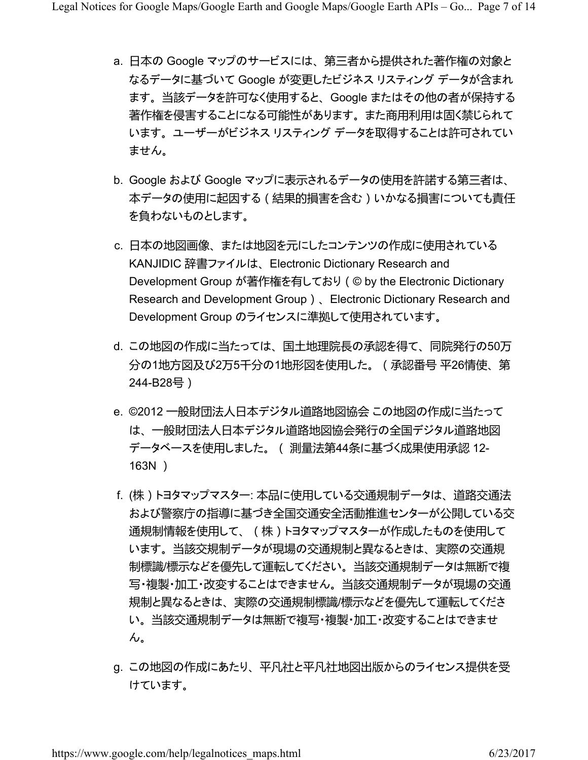- a. 日本の Google マップのサービスには、第三者から提供された著作権の対象と なるデータに基づいて Google が変更したビジネス リスティング データが含まれ ます。当該データを許可なく使用すると、Google またはその他の者が保持する 著作権を侵害することになる可能性があります。また商用利用は固く禁じられて います。ユーザーがビジネス リスティング データを取得することは許可されてい ません。
- b. Google および Google マップに表示されるデータの使用を許諾する第三者は、 本データの使用に起因する(結果的損害を含む)いかなる損害についても責任 を負わないものとします。
- c. 日本の地図画像、または地図を元にしたコンテンツの作成に使用されている KANJIDIC 辞書ファイルは、Electronic Dictionary Research and Development Group が著作権を有しており(© by the Electronic Dictionary Research and Development Group)、Electronic Dictionary Research and Development Group のライセンスに準拠して使用されています。
- d. この地図の作成に当たっては、国土地理院長の承認を得て、同院発行の50万 分の1地方図及び2万5千分の1地形図を使用した。(承認番号 平26情使、第 244-B28号)
- e. ©2012 一般財団法人日本デジタル道路地図協会 この地図の作成に当たって は、一般財団法人日本デジタル道路地図協会発行の全国デジタル道路地図 データベースを使用しました。( 測量法第44条に基づく成果使用承認 12- 163N )
- f. (株)トヨタマップマスター: 本品に使用している交通規制データは、道路交通法 および警察庁の指導に基づき全国交通安全活動推進センターが公開している交 通規制情報を使用して、(株)トヨタマップマスターが作成したものを使用して います。当該交規制データが現場の交通規制と異なるときは、実際の交通規 制標識/標示などを優先して運転してください。当該交通規制データは無断で複 写・複製・加工・改変することはできません。当該交通規制データが現場の交通 規制と異なるときは、実際の交通規制標識/標示などを優先して運転してくださ い。当該交通規制データは無断で複写・複製・加工・改変することはできませ ん。
- g. この地図の作成にあたり、平凡社と平凡社地図出版からのライセンス提供を受 けています。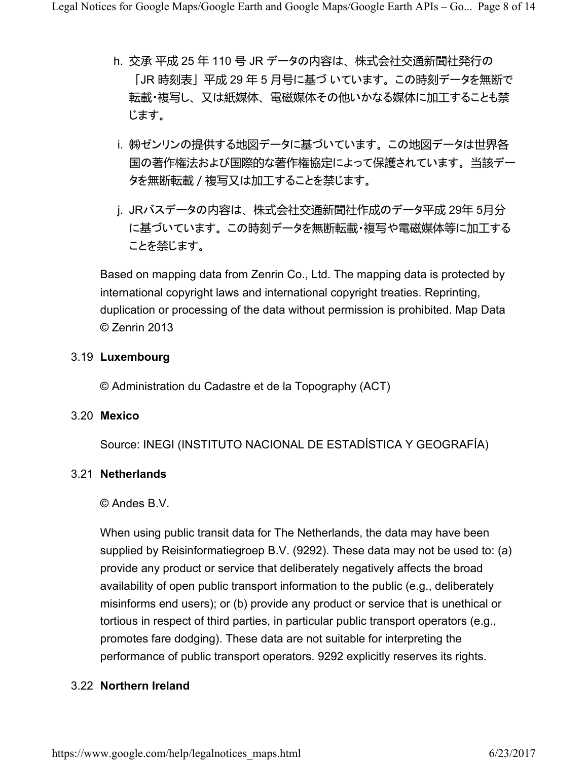- h. 交承 平成 25 年 110 号 JR データの内容は、株式会社交通新聞社発行の 「JR 時刻表」平成 29 年 5 月号に基づ いています。この時刻データを無断で 転載・複写し、又は紙媒体、電磁媒体その他いかなる媒体に加工することも禁 じます。
- i. ㈱ゼンリンの提供する地図データに基づいています。この地図データは世界各 国の著作権法および国際的な著作権協定によって保護されています。当該デー タを無断転載/複写又は加工することを禁じます。
- j. JRバスデータの内容は、株式会社交通新聞社作成のデータ平成 29年 5月分 に基づいています。この時刻データを無断転載・複写や電磁媒体等に加工する ことを禁じます。

Based on mapping data from Zenrin Co., Ltd. The mapping data is protected by international copyright laws and international copyright treaties. Reprinting, duplication or processing of the data without permission is prohibited. Map Data © Zenrin 2013

## 3.19 **Luxembourg**

© Administration du Cadastre et de la Topography (ACT)

## 3.20 **Mexico**

Source: INEGI (INSTITUTO NACIONAL DE ESTADÍSTICA Y GEOGRAFÍA)

## 3.21 **Netherlands**

© Andes B.V.

When using public transit data for The Netherlands, the data may have been supplied by Reisinformatiegroep B.V. (9292). These data may not be used to: (a) provide any product or service that deliberately negatively affects the broad availability of open public transport information to the public (e.g., deliberately misinforms end users); or (b) provide any product or service that is unethical or tortious in respect of third parties, in particular public transport operators (e.g., promotes fare dodging). These data are not suitable for interpreting the performance of public transport operators. 9292 explicitly reserves its rights.

## 3.22 **Northern Ireland**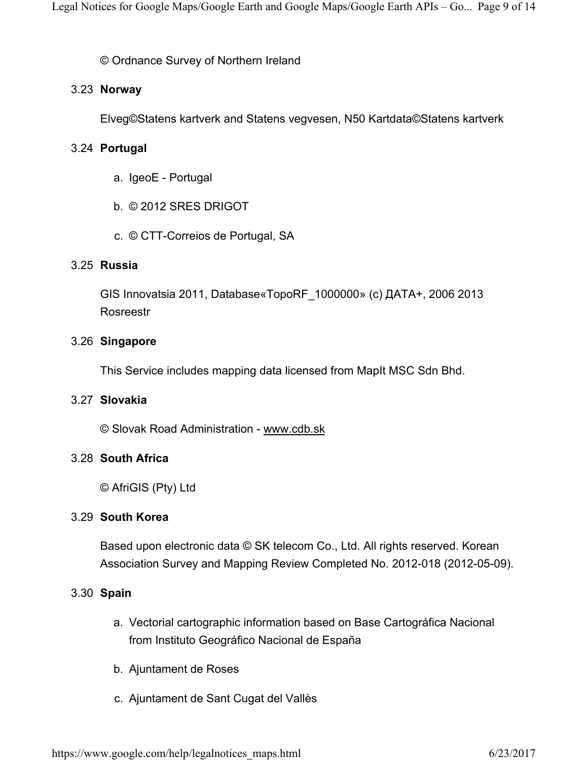© Ordnance Survey of Northern Ireland

## 3.23 **Norway**

Elveg©Statens kartverk and Statens vegvesen, N50 Kartdata©Statens kartverk

## 3.24 **Portugal**

- a. IgeoE Portugal
- b. © 2012 SRES DRIGOT
- c. © CTT-Correios de Portugal, SA

## 3.25 **Russia**

GIS Innovatsia 2011, Database«TopoRF\_1000000» (с) ДАТА+, 2006 2013 Rosreestr

#### 3.26 **Singapore**

This Service includes mapping data licensed from MapIt MSC Sdn Bhd.

#### 3.27 **Slovakia**

© Slovak Road Administration - www.cdb.sk

## 3.28 **South Africa**

© AfriGIS (Pty) Ltd

#### 3.29 **South Korea**

Based upon electronic data © SK telecom Co., Ltd. All rights reserved. Korean Association Survey and Mapping Review Completed No. 2012-018 (2012-05-09).

## 3.30 **Spain**

- a. Vectorial cartographic information based on Base Cartográfica Nacional from Instituto Geográfico Nacional de España
- b. Ajuntament de Roses
- c. Ajuntament de Sant Cugat del Vallès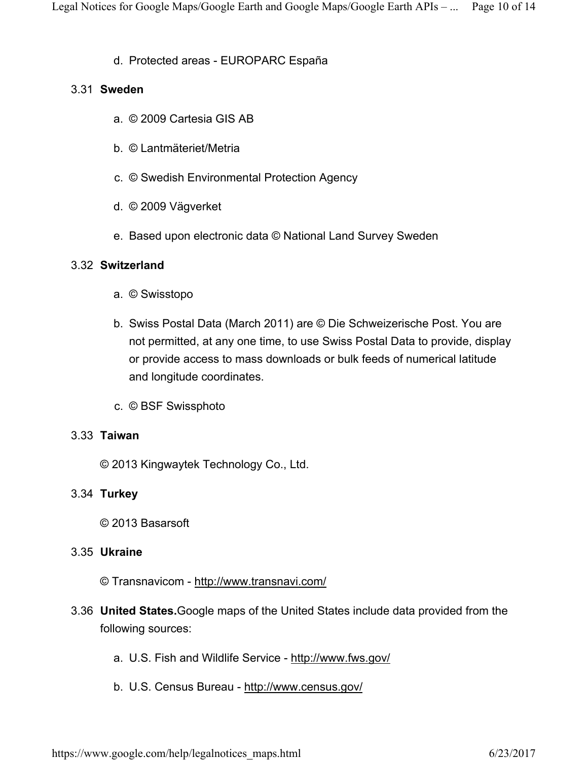d. Protected areas - EUROPARC España

## 3.31 **Sweden**

- a. © 2009 Cartesia GIS AB
- b. © Lantmäteriet/Metria
- c. © Swedish Environmental Protection Agency
- d. © 2009 Vägverket
- e. Based upon electronic data © National Land Survey Sweden

## 3.32 **Switzerland**

- a. © Swisstopo
- b. Swiss Postal Data (March 2011) are © Die Schweizerische Post. You are not permitted, at any one time, to use Swiss Postal Data to provide, display or provide access to mass downloads or bulk feeds of numerical latitude and longitude coordinates.
- c. © BSF Swissphoto

## 3.33 **Taiwan**

© 2013 Kingwaytek Technology Co., Ltd.

## 3.34 **Turkey**

© 2013 Basarsoft

#### 3.35 **Ukraine**

© Transnavicom - http://www.transnavi.com/

- 3.36 **United States.**Google maps of the United States include data provided from the following sources:
	- a. U.S. Fish and Wildlife Service http://www.fws.gov/
	- b. U.S. Census Bureau http://www.census.gov/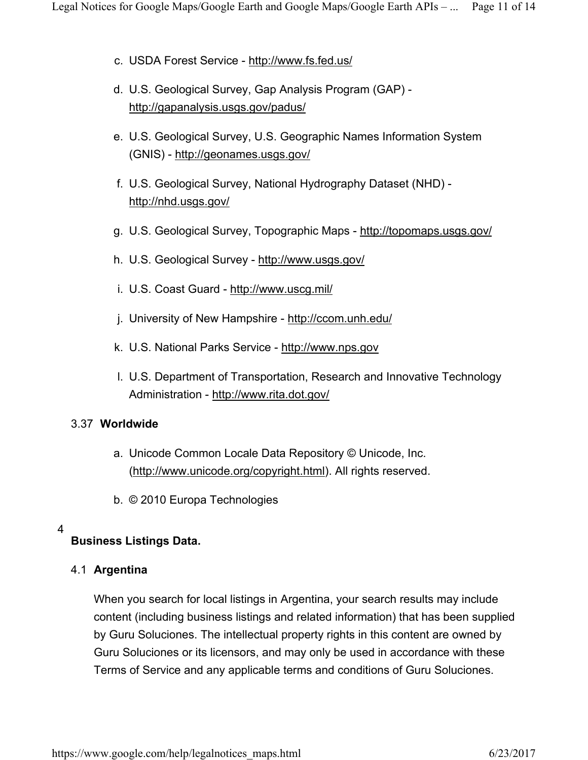- c. USDA Forest Service http://www.fs.fed.us/
- d. U.S. Geological Survey, Gap Analysis Program (GAP) http://gapanalysis.usgs.gov/padus/
- e. U.S. Geological Survey, U.S. Geographic Names Information System (GNIS) - http://geonames.usgs.gov/
- f. U.S. Geological Survey, National Hydrography Dataset (NHD) http://nhd.usgs.gov/
- g. U.S. Geological Survey, Topographic Maps http://topomaps.usgs.gov/
- h. U.S. Geological Survey http://www.usgs.gov/
- i. U.S. Coast Guard http://www.uscg.mil/
- j. University of New Hampshire http://ccom.unh.edu/
- k. U.S. National Parks Service http://www.nps.gov
- l. U.S. Department of Transportation, Research and Innovative Technology Administration - http://www.rita.dot.gov/

#### 3.37 **Worldwide**

- a. Unicode Common Locale Data Repository © Unicode, Inc. (http://www.unicode.org/copyright.html). All rights reserved.
- b. © 2010 Europa Technologies

#### 4

## **Business Listings Data.**

#### 4.1 **Argentina**

When you search for local listings in Argentina, your search results may include content (including business listings and related information) that has been supplied by Guru Soluciones. The intellectual property rights in this content are owned by Guru Soluciones or its licensors, and may only be used in accordance with these Terms of Service and any applicable terms and conditions of Guru Soluciones.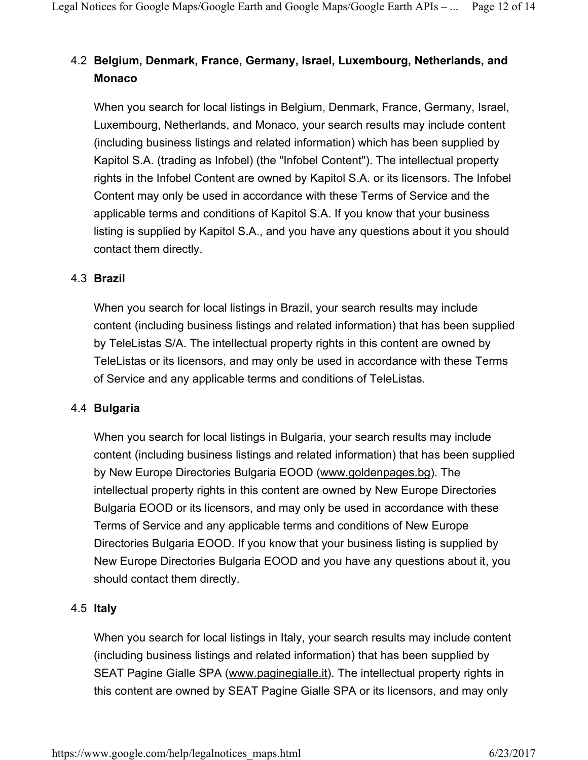## 4.2 **Belgium, Denmark, France, Germany, Israel, Luxembourg, Netherlands, and Monaco**

When you search for local listings in Belgium, Denmark, France, Germany, Israel, Luxembourg, Netherlands, and Monaco, your search results may include content (including business listings and related information) which has been supplied by Kapitol S.A. (trading as Infobel) (the "Infobel Content"). The intellectual property rights in the Infobel Content are owned by Kapitol S.A. or its licensors. The Infobel Content may only be used in accordance with these Terms of Service and the applicable terms and conditions of Kapitol S.A. If you know that your business listing is supplied by Kapitol S.A., and you have any questions about it you should contact them directly.

## 4.3 **Brazil**

When you search for local listings in Brazil, your search results may include content (including business listings and related information) that has been supplied by TeleListas S/A. The intellectual property rights in this content are owned by TeleListas or its licensors, and may only be used in accordance with these Terms of Service and any applicable terms and conditions of TeleListas.

## 4.4 **Bulgaria**

When you search for local listings in Bulgaria, your search results may include content (including business listings and related information) that has been supplied by New Europe Directories Bulgaria EOOD (www.goldenpages.bg). The intellectual property rights in this content are owned by New Europe Directories Bulgaria EOOD or its licensors, and may only be used in accordance with these Terms of Service and any applicable terms and conditions of New Europe Directories Bulgaria EOOD. If you know that your business listing is supplied by New Europe Directories Bulgaria EOOD and you have any questions about it, you should contact them directly.

## 4.5 **Italy**

When you search for local listings in Italy, your search results may include content (including business listings and related information) that has been supplied by SEAT Pagine Gialle SPA (www.paginegialle.it). The intellectual property rights in this content are owned by SEAT Pagine Gialle SPA or its licensors, and may only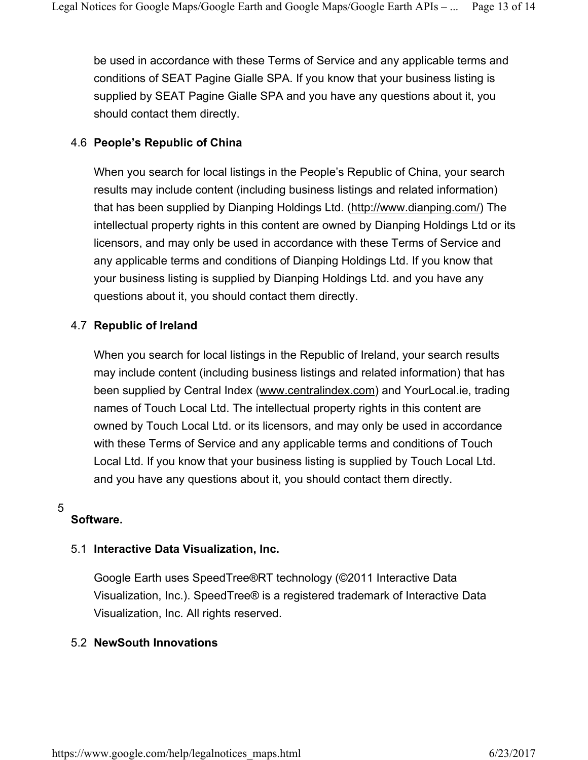be used in accordance with these Terms of Service and any applicable terms and conditions of SEAT Pagine Gialle SPA. If you know that your business listing is supplied by SEAT Pagine Gialle SPA and you have any questions about it, you should contact them directly.

## 4.6 **People's Republic of China**

When you search for local listings in the People's Republic of China, your search results may include content (including business listings and related information) that has been supplied by Dianping Holdings Ltd. (http://www.dianping.com/) The intellectual property rights in this content are owned by Dianping Holdings Ltd or its licensors, and may only be used in accordance with these Terms of Service and any applicable terms and conditions of Dianping Holdings Ltd. If you know that your business listing is supplied by Dianping Holdings Ltd. and you have any questions about it, you should contact them directly.

## 4.7 **Republic of Ireland**

When you search for local listings in the Republic of Ireland, your search results may include content (including business listings and related information) that has been supplied by Central Index (www.centralindex.com) and YourLocal.ie, trading names of Touch Local Ltd. The intellectual property rights in this content are owned by Touch Local Ltd. or its licensors, and may only be used in accordance with these Terms of Service and any applicable terms and conditions of Touch Local Ltd. If you know that your business listing is supplied by Touch Local Ltd. and you have any questions about it, you should contact them directly.

## 5

## **Software.**

## 5.1 **Interactive Data Visualization, Inc.**

Google Earth uses SpeedTree®RT technology (©2011 Interactive Data Visualization, Inc.). SpeedTree® is a registered trademark of Interactive Data Visualization, Inc. All rights reserved.

## 5.2 **NewSouth Innovations**